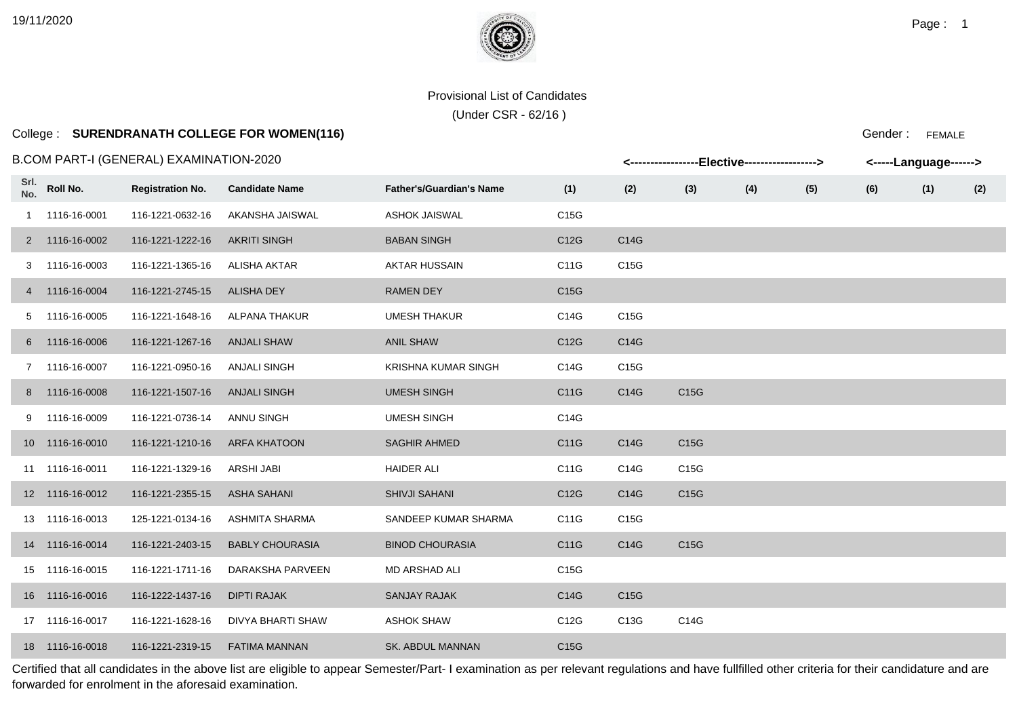# College : **SURENDRANATH COLLEGE FOR WOMEN(116)**

### B.COM PART-I (GENERAL) EXAMINATION-2020

|      |                 | .COM PART-I (GENERAL) EXAMINATION-2020 |                          |                                 |                   |      | <-----------------Elective-----------------> |     |     |     | <-----Language------> |     |
|------|-----------------|----------------------------------------|--------------------------|---------------------------------|-------------------|------|----------------------------------------------|-----|-----|-----|-----------------------|-----|
| Srl. | No. Roll No.    | <b>Registration No.</b>                | <b>Candidate Name</b>    | <b>Father's/Guardian's Name</b> | (1)               | (2)  | (3)                                          | (4) | (5) | (6) | (1)                   | (2) |
|      | 1 1116-16-0001  | 116-1221-0632-16                       | AKANSHA JAISWAL          | <b>ASHOK JAISWAL</b>            | C15G              |      |                                              |     |     |     |                       |     |
|      | 2 1116-16-0002  | 116-1221-1222-16                       | <b>AKRITI SINGH</b>      | <b>BABAN SINGH</b>              | C12G              | C14G |                                              |     |     |     |                       |     |
|      | 3 1116-16-0003  | 116-1221-1365-16                       | <b>ALISHA AKTAR</b>      | <b>AKTAR HUSSAIN</b>            | C11G              | C15G |                                              |     |     |     |                       |     |
|      | 4 1116-16-0004  | 116-1221-2745-15                       | <b>ALISHA DEY</b>        | <b>RAMEN DEY</b>                | C <sub>15</sub> G |      |                                              |     |     |     |                       |     |
|      | 5 1116-16-0005  | 116-1221-1648-16                       | <b>ALPANA THAKUR</b>     | <b>UMESH THAKUR</b>             | C14G              | C15G |                                              |     |     |     |                       |     |
|      | 6 1116-16-0006  | 116-1221-1267-16                       | <b>ANJALI SHAW</b>       | <b>ANIL SHAW</b>                | C12G              | C14G |                                              |     |     |     |                       |     |
|      | 7 1116-16-0007  | 116-1221-0950-16                       | <b>ANJALI SINGH</b>      | <b>KRISHNA KUMAR SINGH</b>      | C14G              | C15G |                                              |     |     |     |                       |     |
|      | 8 1116-16-0008  | 116-1221-1507-16                       | <b>ANJALI SINGH</b>      | <b>UMESH SINGH</b>              | C11G              | C14G | C15G                                         |     |     |     |                       |     |
|      | 9 1116-16-0009  | 116-1221-0736-14                       | ANNU SINGH               | <b>UMESH SINGH</b>              | C14G              |      |                                              |     |     |     |                       |     |
|      | 10 1116-16-0010 | 116-1221-1210-16                       | <b>ARFA KHATOON</b>      | <b>SAGHIR AHMED</b>             | C11G              | C14G | C15G                                         |     |     |     |                       |     |
|      | 11 1116-16-0011 | 116-1221-1329-16                       | ARSHI JABI               | <b>HAIDER ALI</b>               | C11G              | C14G | C15G                                         |     |     |     |                       |     |
|      | 12 1116-16-0012 | 116-1221-2355-15                       | ASHA SAHANI              | <b>SHIVJI SAHANI</b>            | C12G              | C14G | C15G                                         |     |     |     |                       |     |
|      | 13 1116-16-0013 | 125-1221-0134-16                       | ASHMITA SHARMA           | SANDEEP KUMAR SHARMA            | C11G              | C15G |                                              |     |     |     |                       |     |
|      | 14 1116-16-0014 | 116-1221-2403-15                       | <b>BABLY CHOURASIA</b>   | <b>BINOD CHOURASIA</b>          | C11G              | C14G | C15G                                         |     |     |     |                       |     |
|      | 15 1116-16-0015 | 116-1221-1711-16                       | DARAKSHA PARVEEN         | <b>MD ARSHAD ALI</b>            | C15G              |      |                                              |     |     |     |                       |     |
|      | 16 1116-16-0016 | 116-1222-1437-16                       | <b>DIPTI RAJAK</b>       | <b>SANJAY RAJAK</b>             | C14G              | C15G |                                              |     |     |     |                       |     |
|      | 17 1116-16-0017 | 116-1221-1628-16                       | <b>DIVYA BHARTI SHAW</b> | <b>ASHOK SHAW</b>               | C12G              | C13G | C14G                                         |     |     |     |                       |     |
|      | 18 1116-16-0018 | 116-1221-2319-15                       | <b>FATIMA MANNAN</b>     | <b>SK. ABDUL MANNAN</b>         | C15G              |      |                                              |     |     |     |                       |     |

Certified that all candidates in the above list are eligible to appear Semester/Part- I examination as per relevant regulations and have fullfilled other criteria for their candidature and are forwarded for enrolment in the aforesaid examination.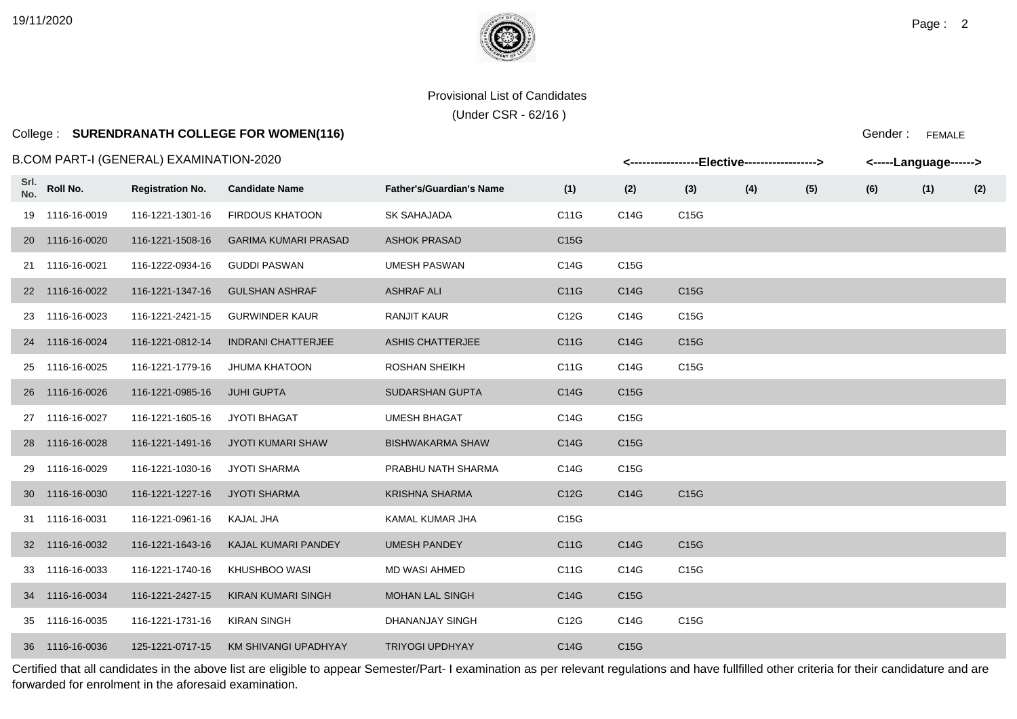(Under CSR - 62/16 )

# College : **SURENDRANATH COLLEGE FOR WOMEN(116)**

### B.COM PART-I (GENERAL) EXAMINATION-2020

|             |                 | ECOM PART-I (GENERAL) EXAMINATION-2020 |                             |                                 |      |      | <-----------------Elective-----------------> |     |     |     | <-----Language------> |     |
|-------------|-----------------|----------------------------------------|-----------------------------|---------------------------------|------|------|----------------------------------------------|-----|-----|-----|-----------------------|-----|
| Srl.<br>No. | Roll No.        | <b>Registration No.</b>                | <b>Candidate Name</b>       | <b>Father's/Guardian's Name</b> | (1)  | (2)  | (3)                                          | (4) | (5) | (6) | (1)                   | (2) |
|             | 19 1116-16-0019 | 116-1221-1301-16                       | <b>FIRDOUS KHATOON</b>      | SK SAHAJADA                     | C11G | C14G | C15G                                         |     |     |     |                       |     |
|             | 20 1116-16-0020 | 116-1221-1508-16                       | <b>GARIMA KUMARI PRASAD</b> | <b>ASHOK PRASAD</b>             | C15G |      |                                              |     |     |     |                       |     |
|             | 21 1116-16-0021 | 116-1222-0934-16                       | <b>GUDDI PASWAN</b>         | <b>UMESH PASWAN</b>             | C14G | C15G |                                              |     |     |     |                       |     |
|             | 22 1116-16-0022 | 116-1221-1347-16                       | <b>GULSHAN ASHRAF</b>       | <b>ASHRAF ALI</b>               | C11G | C14G | C15G                                         |     |     |     |                       |     |
|             | 23 1116-16-0023 | 116-1221-2421-15                       | <b>GURWINDER KAUR</b>       | <b>RANJIT KAUR</b>              | C12G | C14G | C15G                                         |     |     |     |                       |     |
|             | 24 1116-16-0024 | 116-1221-0812-14                       | <b>INDRANI CHATTERJEE</b>   | ASHIS CHATTERJEE                | C11G | C14G | C15G                                         |     |     |     |                       |     |
|             | 25 1116-16-0025 | 116-1221-1779-16                       | <b>JHUMA KHATOON</b>        | <b>ROSHAN SHEIKH</b>            | C11G | C14G | C15G                                         |     |     |     |                       |     |
|             | 26 1116-16-0026 | 116-1221-0985-16                       | <b>JUHI GUPTA</b>           | SUDARSHAN GUPTA                 | C14G | C15G |                                              |     |     |     |                       |     |
|             | 27 1116-16-0027 | 116-1221-1605-16                       | JYOTI BHAGAT                | <b>UMESH BHAGAT</b>             | C14G | C15G |                                              |     |     |     |                       |     |
|             | 28 1116-16-0028 | 116-1221-1491-16                       | JYOTI KUMARI SHAW           | <b>BISHWAKARMA SHAW</b>         | C14G | C15G |                                              |     |     |     |                       |     |
|             | 29 1116-16-0029 | 116-1221-1030-16                       | <b>JYOTI SHARMA</b>         | PRABHU NATH SHARMA              | C14G | C15G |                                              |     |     |     |                       |     |
|             | 30 1116-16-0030 | 116-1221-1227-16                       | <b>JYOTI SHARMA</b>         | <b>KRISHNA SHARMA</b>           | C12G | C14G | C15G                                         |     |     |     |                       |     |
|             | 31 1116-16-0031 | 116-1221-0961-16                       | KAJAL JHA                   | KAMAL KUMAR JHA                 | C15G |      |                                              |     |     |     |                       |     |
|             | 32 1116-16-0032 | 116-1221-1643-16                       | KAJAL KUMARI PANDEY         | <b>UMESH PANDEY</b>             | C11G | C14G | C15G                                         |     |     |     |                       |     |
|             | 33 1116-16-0033 | 116-1221-1740-16                       | KHUSHBOO WASI               | <b>MD WASI AHMED</b>            | C11G | C14G | C15G                                         |     |     |     |                       |     |
|             | 34 1116-16-0034 | 116-1221-2427-15                       | <b>KIRAN KUMARI SINGH</b>   | <b>MOHAN LAL SINGH</b>          | C14G | C15G |                                              |     |     |     |                       |     |
|             | 35 1116-16-0035 | 116-1221-1731-16                       | <b>KIRAN SINGH</b>          | DHANANJAY SINGH                 | C12G | C14G | C15G                                         |     |     |     |                       |     |
|             | 36 1116-16-0036 | 125-1221-0717-15                       | KM SHIVANGI UPADHYAY        | <b>TRIYOGI UPDHYAY</b>          | C14G | C15G |                                              |     |     |     |                       |     |

Certified that all candidates in the above list are eligible to appear Semester/Part- I examination as per relevant regulations and have fullfilled other criteria for their candidature and are forwarded for enrolment in the aforesaid examination.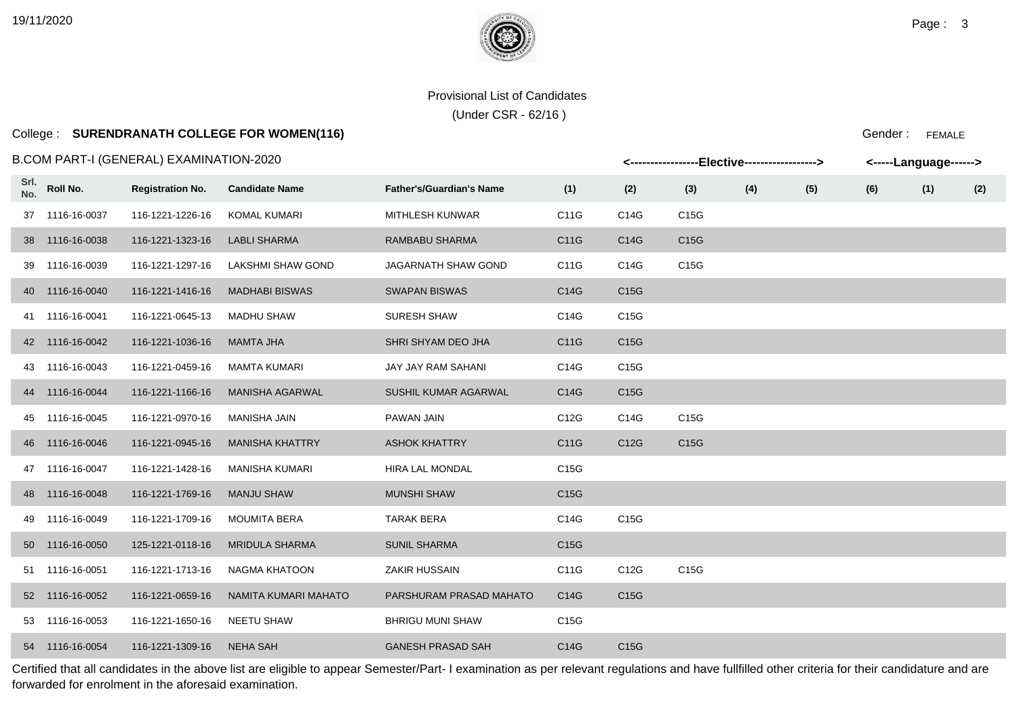(Under CSR - 62/16 )

# College : **SURENDRANATH COLLEGE FOR WOMEN(116)**

#### B.COM PART-I (GENERAL) EXAMINATION-2020

|             |                 | 3.COM PART-I (GENERAL) EXAMINATION-2020 |                        |                                 |                   |                   | <-----------------Elective-----------------> |     |     |     | <-----Language------> |     |
|-------------|-----------------|-----------------------------------------|------------------------|---------------------------------|-------------------|-------------------|----------------------------------------------|-----|-----|-----|-----------------------|-----|
| Srl.<br>No. | Roll No.        | <b>Registration No.</b>                 | <b>Candidate Name</b>  | <b>Father's/Guardian's Name</b> | (1)               | (2)               | (3)                                          | (4) | (5) | (6) | (1)                   | (2) |
|             | 37 1116-16-0037 | 116-1221-1226-16                        | KOMAL KUMARI           | MITHLESH KUNWAR                 | C11G              | C14G              | C15G                                         |     |     |     |                       |     |
|             | 38 1116-16-0038 | 116-1221-1323-16                        | <b>LABLI SHARMA</b>    | RAMBABU SHARMA                  | C11G              | C14G              | C15G                                         |     |     |     |                       |     |
|             | 39 1116-16-0039 | 116-1221-1297-16                        | LAKSHMI SHAW GOND      | <b>JAGARNATH SHAW GOND</b>      | C11G              | C14G              | C15G                                         |     |     |     |                       |     |
|             | 40 1116-16-0040 | 116-1221-1416-16                        | <b>MADHABI BISWAS</b>  | <b>SWAPAN BISWAS</b>            | C14G              | C15G              |                                              |     |     |     |                       |     |
|             | 41 1116-16-0041 | 116-1221-0645-13                        | MADHU SHAW             | <b>SURESH SHAW</b>              | C14G              | C15G              |                                              |     |     |     |                       |     |
|             | 42 1116-16-0042 | 116-1221-1036-16                        | MAMTA JHA              | SHRI SHYAM DEO JHA              | C11G              | C15G              |                                              |     |     |     |                       |     |
|             | 43 1116-16-0043 | 116-1221-0459-16                        | <b>MAMTA KUMARI</b>    | JAY JAY RAM SAHANI              | C14G              | C15G              |                                              |     |     |     |                       |     |
|             | 44 1116-16-0044 | 116-1221-1166-16                        | <b>MANISHA AGARWAL</b> | SUSHIL KUMAR AGARWAL            | C14G              | C15G              |                                              |     |     |     |                       |     |
|             | 45 1116-16-0045 | 116-1221-0970-16                        | MANISHA JAIN           | PAWAN JAIN                      | C12G              | C14G              | C15G                                         |     |     |     |                       |     |
|             | 46 1116-16-0046 | 116-1221-0945-16                        | <b>MANISHA KHATTRY</b> | <b>ASHOK KHATTRY</b>            | C11G              | C <sub>12</sub> G | C15G                                         |     |     |     |                       |     |
|             | 47 1116-16-0047 | 116-1221-1428-16                        | MANISHA KUMARI         | HIRA LAL MONDAL                 | C <sub>15</sub> G |                   |                                              |     |     |     |                       |     |
|             | 48 1116-16-0048 | 116-1221-1769-16                        | <b>MANJU SHAW</b>      | <b>MUNSHI SHAW</b>              | C <sub>15</sub> G |                   |                                              |     |     |     |                       |     |
|             | 49 1116-16-0049 | 116-1221-1709-16                        | <b>MOUMITA BERA</b>    | <b>TARAK BERA</b>               | C14G              | C15G              |                                              |     |     |     |                       |     |
|             | 50 1116-16-0050 | 125-1221-0118-16                        | <b>MRIDULA SHARMA</b>  | <b>SUNIL SHARMA</b>             | C <sub>15</sub> G |                   |                                              |     |     |     |                       |     |
|             | 51 1116-16-0051 | 116-1221-1713-16                        | NAGMA KHATOON          | ZAKIR HUSSAIN                   | C11G              | C12G              | C15G                                         |     |     |     |                       |     |
|             | 52 1116-16-0052 | 116-1221-0659-16                        | NAMITA KUMARI MAHATO   | PARSHURAM PRASAD MAHATO         | C14G              | C15G              |                                              |     |     |     |                       |     |
|             | 53 1116-16-0053 | 116-1221-1650-16                        | <b>NEETU SHAW</b>      | <b>BHRIGU MUNI SHAW</b>         | C15G              |                   |                                              |     |     |     |                       |     |
|             | 54 1116-16-0054 | 116-1221-1309-16                        | NEHA SAH               | <b>GANESH PRASAD SAH</b>        | C14G              | C15G              |                                              |     |     |     |                       |     |

Certified that all candidates in the above list are eligible to appear Semester/Part- I examination as per relevant regulations and have fullfilled other criteria for their candidature and are forwarded for enrolment in the aforesaid examination.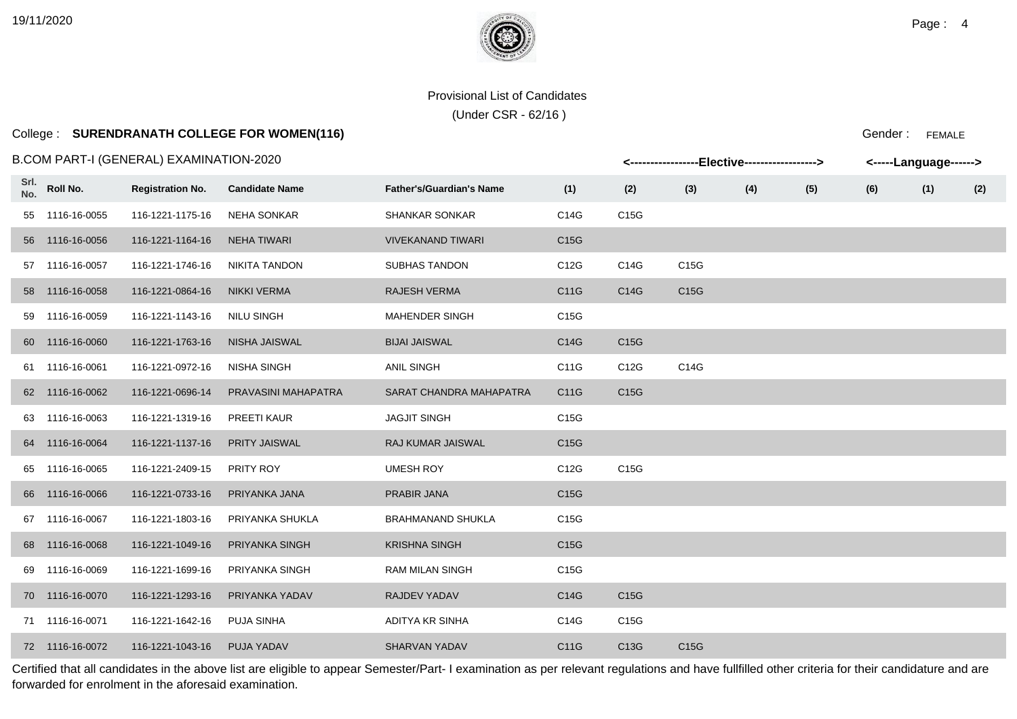# College : **SURENDRANATH COLLEGE FOR WOMEN(116)**

### B.COM PART-I (GENERAL) EXAMINATION-2020

|             |                 | .COM PART-I (GENERAL) EXAMINATION-2020 |                       |                                 |                   |      | <-----------------Elective-----------------> |     |     | <-----Language------> |     |     |
|-------------|-----------------|----------------------------------------|-----------------------|---------------------------------|-------------------|------|----------------------------------------------|-----|-----|-----------------------|-----|-----|
| Srl.<br>No. | Roll No.        | <b>Registration No.</b>                | <b>Candidate Name</b> | <b>Father's/Guardian's Name</b> | (1)               | (2)  | (3)                                          | (4) | (5) | (6)                   | (1) | (2) |
|             | 55 1116-16-0055 | 116-1221-1175-16                       | <b>NEHA SONKAR</b>    | <b>SHANKAR SONKAR</b>           | C14G              | C15G |                                              |     |     |                       |     |     |
|             | 56 1116-16-0056 | 116-1221-1164-16                       | <b>NEHA TIWARI</b>    | <b>VIVEKANAND TIWARI</b>        | C15G              |      |                                              |     |     |                       |     |     |
|             | 57 1116-16-0057 | 116-1221-1746-16                       | <b>NIKITA TANDON</b>  | <b>SUBHAS TANDON</b>            | C12G              | C14G | C15G                                         |     |     |                       |     |     |
|             | 58 1116-16-0058 | 116-1221-0864-16                       | <b>NIKKI VERMA</b>    | <b>RAJESH VERMA</b>             | C11G              | C14G | C15G                                         |     |     |                       |     |     |
|             | 59 1116-16-0059 | 116-1221-1143-16                       | <b>NILU SINGH</b>     | <b>MAHENDER SINGH</b>           | C15G              |      |                                              |     |     |                       |     |     |
|             | 60 1116-16-0060 | 116-1221-1763-16                       | <b>NISHA JAISWAL</b>  | <b>BIJAI JAISWAL</b>            | C14G              | C15G |                                              |     |     |                       |     |     |
|             | 61 1116-16-0061 | 116-1221-0972-16                       | <b>NISHA SINGH</b>    | <b>ANIL SINGH</b>               | C11G              | C12G | C14G                                         |     |     |                       |     |     |
|             | 62 1116-16-0062 | 116-1221-0696-14                       | PRAVASINI MAHAPATRA   | SARAT CHANDRA MAHAPATRA         | C11G              | C15G |                                              |     |     |                       |     |     |
|             | 63 1116-16-0063 | 116-1221-1319-16                       | PREETI KAUR           | <b>JAGJIT SINGH</b>             | C15G              |      |                                              |     |     |                       |     |     |
|             | 64 1116-16-0064 | 116-1221-1137-16                       | <b>PRITY JAISWAL</b>  | RAJ KUMAR JAISWAL               | C <sub>15</sub> G |      |                                              |     |     |                       |     |     |
|             | 65 1116-16-0065 | 116-1221-2409-15                       | PRITY ROY             | <b>UMESH ROY</b>                | C12G              | C15G |                                              |     |     |                       |     |     |
|             | 66 1116-16-0066 | 116-1221-0733-16                       | PRIYANKA JANA         | <b>PRABIR JANA</b>              | C15G              |      |                                              |     |     |                       |     |     |
|             | 67 1116-16-0067 | 116-1221-1803-16                       | PRIYANKA SHUKLA       | <b>BRAHMANAND SHUKLA</b>        | C15G              |      |                                              |     |     |                       |     |     |
|             | 68 1116-16-0068 | 116-1221-1049-16                       | PRIYANKA SINGH        | <b>KRISHNA SINGH</b>            | C <sub>15</sub> G |      |                                              |     |     |                       |     |     |
|             | 69 1116-16-0069 | 116-1221-1699-16                       | PRIYANKA SINGH        | <b>RAM MILAN SINGH</b>          | C15G              |      |                                              |     |     |                       |     |     |
|             | 70 1116-16-0070 | 116-1221-1293-16                       | PRIYANKA YADAV        | RAJDEV YADAV                    | C14G              | C15G |                                              |     |     |                       |     |     |
|             | 71 1116-16-0071 | 116-1221-1642-16                       | <b>PUJA SINHA</b>     | <b>ADITYA KR SINHA</b>          | C14G              | C15G |                                              |     |     |                       |     |     |
|             | 72 1116-16-0072 | 116-1221-1043-16                       | PUJA YADAV            | <b>SHARVAN YADAV</b>            | C11G              | C13G | C15G                                         |     |     |                       |     |     |

Certified that all candidates in the above list are eligible to appear Semester/Part- I examination as per relevant regulations and have fullfilled other criteria for their candidature and are forwarded for enrolment in the aforesaid examination.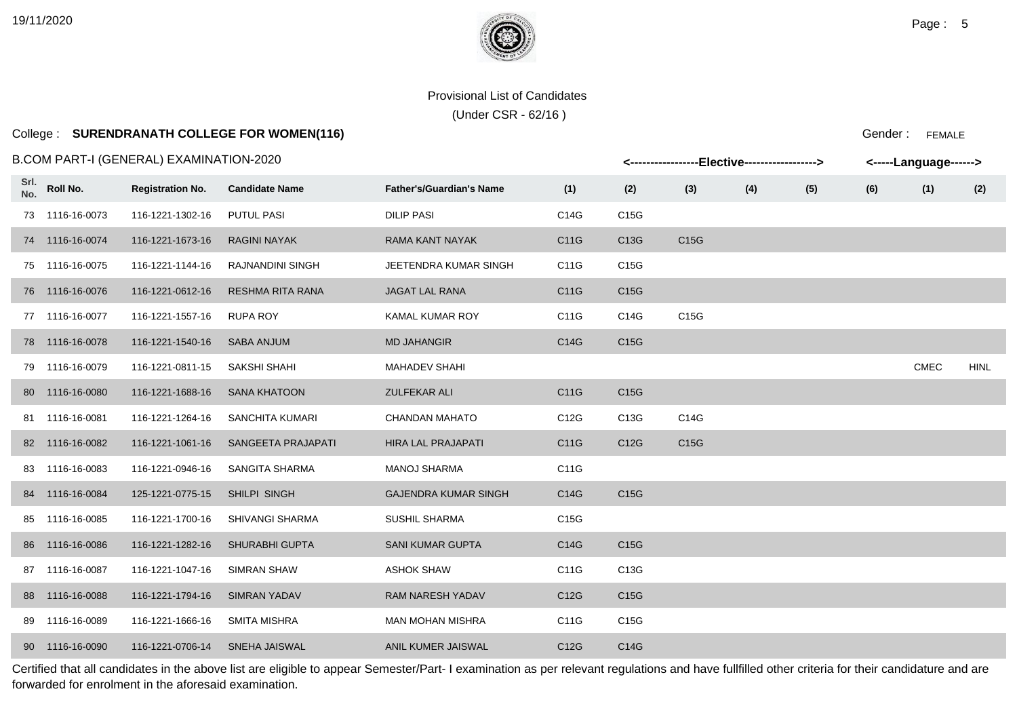# College : **SURENDRANATH COLLEGE FOR WOMEN(116)**

### B.COM PART-I (GENERAL) EXAMINATION-2020

|      |                 | .COM PART-I (GENERAL) EXAMINATION-2020 |                         |                                 |                   |                   | <-----------------Elective-----------------> |     |     |     | <-----Language------> |             |
|------|-----------------|----------------------------------------|-------------------------|---------------------------------|-------------------|-------------------|----------------------------------------------|-----|-----|-----|-----------------------|-------------|
| Srl. | No. Roll No.    | <b>Registration No.</b>                | <b>Candidate Name</b>   | <b>Father's/Guardian's Name</b> | (1)               | (2)               | (3)                                          | (4) | (5) | (6) | (1)                   | (2)         |
|      | 73 1116-16-0073 | 116-1221-1302-16                       | <b>PUTUL PASI</b>       | <b>DILIP PASI</b>               | C14G              | C15G              |                                              |     |     |     |                       |             |
|      | 74 1116-16-0074 | 116-1221-1673-16                       | <b>RAGINI NAYAK</b>     | RAMA KANT NAYAK                 | C11G              | C13G              | C15G                                         |     |     |     |                       |             |
|      | 75 1116-16-0075 | 116-1221-1144-16                       | RAJNANDINI SINGH        | JEETENDRA KUMAR SINGH           | C11G              | C15G              |                                              |     |     |     |                       |             |
|      | 76 1116-16-0076 | 116-1221-0612-16                       | <b>RESHMA RITA RANA</b> | <b>JAGAT LAL RANA</b>           | C11G              | C15G              |                                              |     |     |     |                       |             |
|      | 77 1116-16-0077 | 116-1221-1557-16                       | <b>RUPA ROY</b>         | KAMAL KUMAR ROY                 | C11G              | C14G              | C15G                                         |     |     |     |                       |             |
|      | 78 1116-16-0078 | 116-1221-1540-16                       | <b>SABA ANJUM</b>       | <b>MD JAHANGIR</b>              | C14G              | C <sub>15</sub> G |                                              |     |     |     |                       |             |
|      | 79 1116-16-0079 | 116-1221-0811-15                       | SAKSHI SHAHI            | <b>MAHADEV SHAHI</b>            |                   |                   |                                              |     |     |     | <b>CMEC</b>           | <b>HINL</b> |
|      | 80 1116-16-0080 | 116-1221-1688-16                       | <b>SANA KHATOON</b>     | <b>ZULFEKAR ALI</b>             | C11G              | C15G              |                                              |     |     |     |                       |             |
|      | 81 1116-16-0081 | 116-1221-1264-16                       | SANCHITA KUMARI         | <b>CHANDAN MAHATO</b>           | C12G              | C13G              | C14G                                         |     |     |     |                       |             |
|      | 82 1116-16-0082 | 116-1221-1061-16                       | SANGEETA PRAJAPATI      | <b>HIRA LAL PRAJAPATI</b>       | C11G              | C12G              | C <sub>15</sub> G                            |     |     |     |                       |             |
|      | 83 1116-16-0083 | 116-1221-0946-16                       | SANGITA SHARMA          | MANOJ SHARMA                    | C11G              |                   |                                              |     |     |     |                       |             |
|      | 84 1116-16-0084 | 125-1221-0775-15                       | SHILPI SINGH            | <b>GAJENDRA KUMAR SINGH</b>     | C14G              | C15G              |                                              |     |     |     |                       |             |
|      | 85 1116-16-0085 | 116-1221-1700-16                       | SHIVANGI SHARMA         | <b>SUSHIL SHARMA</b>            | C <sub>15</sub> G |                   |                                              |     |     |     |                       |             |
|      | 86 1116-16-0086 | 116-1221-1282-16                       | <b>SHURABHI GUPTA</b>   | <b>SANI KUMAR GUPTA</b>         | C14G              | C <sub>15</sub> G |                                              |     |     |     |                       |             |
|      | 87 1116-16-0087 | 116-1221-1047-16                       | <b>SIMRAN SHAW</b>      | <b>ASHOK SHAW</b>               | C11G              | C13G              |                                              |     |     |     |                       |             |
|      | 88 1116-16-0088 | 116-1221-1794-16                       | <b>SIMRAN YADAV</b>     | RAM NARESH YADAV                | C12G              | C <sub>15</sub> G |                                              |     |     |     |                       |             |
|      | 89 1116-16-0089 | 116-1221-1666-16                       | <b>SMITA MISHRA</b>     | <b>MAN MOHAN MISHRA</b>         | C11G              | C15G              |                                              |     |     |     |                       |             |
|      | 90 1116-16-0090 | 116-1221-0706-14                       | SNEHA JAISWAL           | ANIL KUMER JAISWAL              | C12G              | C14G              |                                              |     |     |     |                       |             |

Certified that all candidates in the above list are eligible to appear Semester/Part- I examination as per relevant regulations and have fullfilled other criteria for their candidature and are forwarded for enrolment in the aforesaid examination.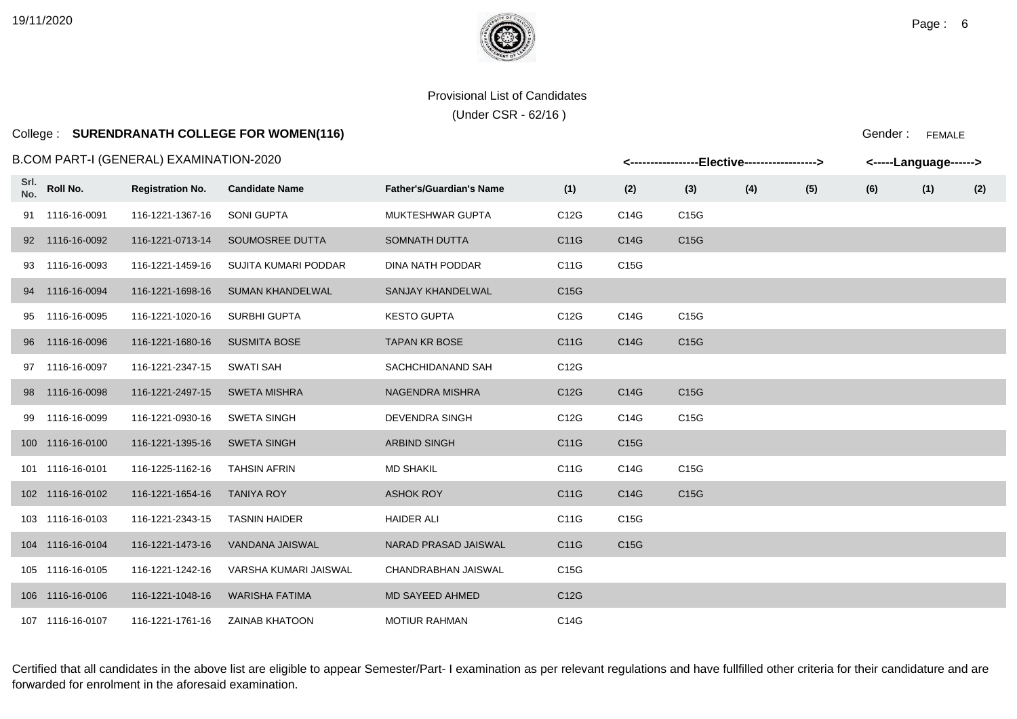# College : **SURENDRANATH COLLEGE FOR WOMEN(116)**

### B.COM PART-I (GENERAL) EXAMINATION-2020

|             |                  | .COM PART-I (GENERAL) EXAMINATION-2020 |                         |                                 |      |      | <-----------------Elective-----------------> |     |     | <-----Language------> |     |     |
|-------------|------------------|----------------------------------------|-------------------------|---------------------------------|------|------|----------------------------------------------|-----|-----|-----------------------|-----|-----|
| Srl.<br>No. | Roll No.         | <b>Registration No.</b>                | <b>Candidate Name</b>   | <b>Father's/Guardian's Name</b> | (1)  | (2)  | (3)                                          | (4) | (5) | (6)                   | (1) | (2) |
|             | 91 1116-16-0091  | 116-1221-1367-16                       | <b>SONI GUPTA</b>       | MUKTESHWAR GUPTA                | C12G | C14G | C15G                                         |     |     |                       |     |     |
|             | 92 1116-16-0092  | 116-1221-0713-14                       | SOUMOSREE DUTTA         | <b>SOMNATH DUTTA</b>            | C11G | C14G | C15G                                         |     |     |                       |     |     |
|             | 93 1116-16-0093  | 116-1221-1459-16                       | SUJITA KUMARI PODDAR    | DINA NATH PODDAR                | C11G | C15G |                                              |     |     |                       |     |     |
|             | 94 1116-16-0094  | 116-1221-1698-16                       | <b>SUMAN KHANDELWAL</b> | SANJAY KHANDELWAL               | C15G |      |                                              |     |     |                       |     |     |
|             | 95 1116-16-0095  | 116-1221-1020-16                       | SURBHI GUPTA            | <b>KESTO GUPTA</b>              | C12G | C14G | C15G                                         |     |     |                       |     |     |
|             | 96 1116-16-0096  | 116-1221-1680-16                       | <b>SUSMITA BOSE</b>     | <b>TAPAN KR BOSE</b>            | C11G | C14G | C15G                                         |     |     |                       |     |     |
|             | 97 1116-16-0097  | 116-1221-2347-15                       | SWATI SAH               | SACHCHIDANAND SAH               | C12G |      |                                              |     |     |                       |     |     |
|             | 98 1116-16-0098  | 116-1221-2497-15                       | <b>SWETA MISHRA</b>     | <b>NAGENDRA MISHRA</b>          | C12G | C14G | C15G                                         |     |     |                       |     |     |
|             | 99 1116-16-0099  | 116-1221-0930-16                       | <b>SWETA SINGH</b>      | <b>DEVENDRA SINGH</b>           | C12G | C14G | C15G                                         |     |     |                       |     |     |
|             | 100 1116-16-0100 | 116-1221-1395-16                       | <b>SWETA SINGH</b>      | <b>ARBIND SINGH</b>             | C11G | C15G |                                              |     |     |                       |     |     |
|             | 101 1116-16-0101 | 116-1225-1162-16                       | <b>TAHSIN AFRIN</b>     | <b>MD SHAKIL</b>                | C11G | C14G | C15G                                         |     |     |                       |     |     |
|             | 102 1116-16-0102 | 116-1221-1654-16                       | <b>TANIYA ROY</b>       | <b>ASHOK ROY</b>                | C11G | C14G | C15G                                         |     |     |                       |     |     |
|             | 103 1116-16-0103 | 116-1221-2343-15                       | <b>TASNIN HAIDER</b>    | <b>HAIDER ALI</b>               | C11G | C15G |                                              |     |     |                       |     |     |
|             | 104 1116-16-0104 | 116-1221-1473-16                       | VANDANA JAISWAL         | NARAD PRASAD JAISWAL            | C11G | C15G |                                              |     |     |                       |     |     |
|             | 105 1116-16-0105 | 116-1221-1242-16                       | VARSHA KUMARI JAISWAL   | CHANDRABHAN JAISWAL             | C15G |      |                                              |     |     |                       |     |     |
|             | 106 1116-16-0106 | 116-1221-1048-16                       | <b>WARISHA FATIMA</b>   | MD SAYEED AHMED                 | C12G |      |                                              |     |     |                       |     |     |
|             | 107 1116-16-0107 | 116-1221-1761-16                       | <b>ZAINAB KHATOON</b>   | <b>MOTIUR RAHMAN</b>            | C14G |      |                                              |     |     |                       |     |     |

Certified that all candidates in the above list are eligible to appear Semester/Part- I examination as per relevant regulations and have fullfilled other criteria for their candidature and are forwarded for enrolment in the aforesaid examination.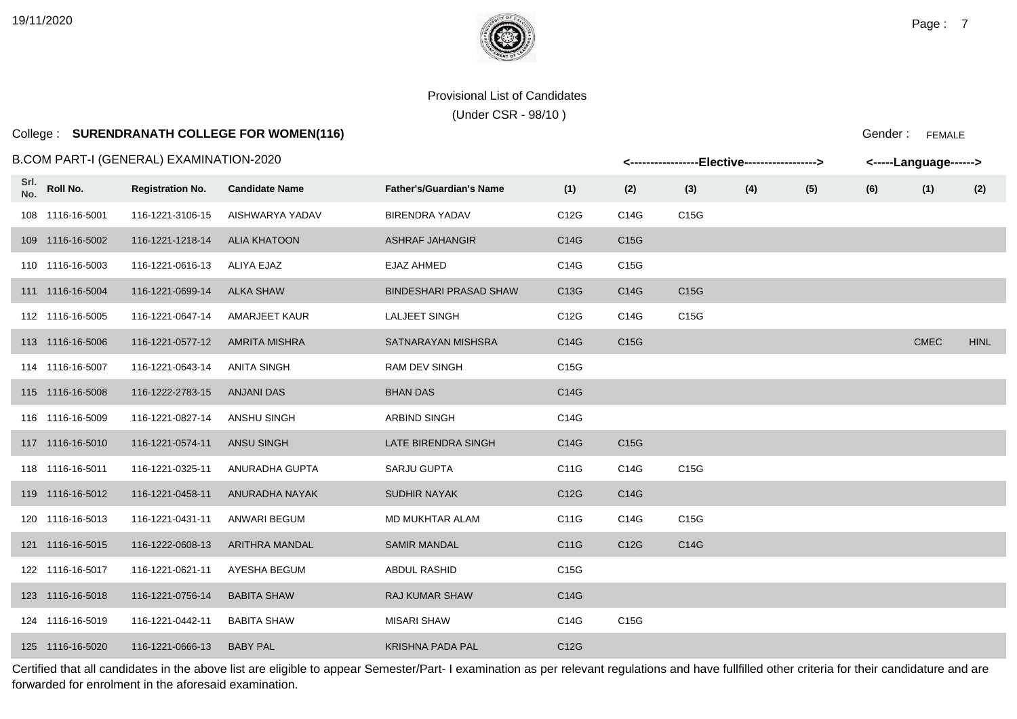# College : **SURENDRANATH COLLEGE FOR WOMEN(116)**

B.COM PART-I (GENERAL) EXAMINATION-2020

|             |                  | 3.COM PART-I (GENERAL) EXAMINATION-2020 |                       |                                 |                   |                   | <-----------------Elective-----------------> |     |     |     | <-----Language------> |             |
|-------------|------------------|-----------------------------------------|-----------------------|---------------------------------|-------------------|-------------------|----------------------------------------------|-----|-----|-----|-----------------------|-------------|
| Srl.<br>No. | Roll No.         | <b>Registration No.</b>                 | <b>Candidate Name</b> | <b>Father's/Guardian's Name</b> | (1)               | (2)               | (3)                                          | (4) | (5) | (6) | (1)                   | (2)         |
|             | 108 1116-16-5001 | 116-1221-3106-15                        | AISHWARYA YADAV       | <b>BIRENDRA YADAV</b>           | C12G              | C14G              | C15G                                         |     |     |     |                       |             |
|             | 109 1116-16-5002 | 116-1221-1218-14                        | <b>ALIA KHATOON</b>   | <b>ASHRAF JAHANGIR</b>          | C14G              | C <sub>15</sub> G |                                              |     |     |     |                       |             |
|             | 110 1116-16-5003 | 116-1221-0616-13                        | ALIYA EJAZ            | EJAZ AHMED                      | C14G              | C15G              |                                              |     |     |     |                       |             |
|             | 111 1116-16-5004 | 116-1221-0699-14                        | <b>ALKA SHAW</b>      | <b>BINDESHARI PRASAD SHAW</b>   | C <sub>13</sub> G | C14G              | C <sub>15</sub> G                            |     |     |     |                       |             |
|             | 112 1116-16-5005 | 116-1221-0647-14                        | <b>AMARJEET KAUR</b>  | <b>LALJEET SINGH</b>            | C12G              | C14G              | C15G                                         |     |     |     |                       |             |
|             | 113 1116-16-5006 | 116-1221-0577-12                        | <b>AMRITA MISHRA</b>  | SATNARAYAN MISHSRA              | C14G              | C <sub>15</sub> G |                                              |     |     |     | <b>CMEC</b>           | <b>HINL</b> |
|             | 114 1116-16-5007 | 116-1221-0643-14                        | ANITA SINGH           | <b>RAM DEV SINGH</b>            | C <sub>15</sub> G |                   |                                              |     |     |     |                       |             |
|             | 115 1116-16-5008 | 116-1222-2783-15                        | <b>ANJANI DAS</b>     | <b>BHAN DAS</b>                 | C14G              |                   |                                              |     |     |     |                       |             |
|             | 116 1116-16-5009 | 116-1221-0827-14                        | ANSHU SINGH           | <b>ARBIND SINGH</b>             | C14G              |                   |                                              |     |     |     |                       |             |
|             | 117 1116-16-5010 | 116-1221-0574-11                        | ANSU SINGH            | LATE BIRENDRA SINGH             | C14G              | C15G              |                                              |     |     |     |                       |             |
|             | 118 1116-16-5011 | 116-1221-0325-11                        | ANURADHA GUPTA        | <b>SARJU GUPTA</b>              | C11G              | C14G              | C15G                                         |     |     |     |                       |             |
|             | 119 1116-16-5012 | 116-1221-0458-11                        | ANURADHA NAYAK        | <b>SUDHIR NAYAK</b>             | C12G              | C14G              |                                              |     |     |     |                       |             |
|             | 120 1116-16-5013 | 116-1221-0431-11                        | ANWARI BEGUM          | MD MUKHTAR ALAM                 | C11G              | C14G              | C15G                                         |     |     |     |                       |             |
|             | 121 1116-16-5015 | 116-1222-0608-13                        | ARITHRA MANDAL        | <b>SAMIR MANDAL</b>             | C11G              | C12G              | C14G                                         |     |     |     |                       |             |
|             | 122 1116-16-5017 | 116-1221-0621-11                        | AYESHA BEGUM          | ABDUL RASHID                    | C15G              |                   |                                              |     |     |     |                       |             |
|             | 123 1116-16-5018 | 116-1221-0756-14                        | <b>BABITA SHAW</b>    | <b>RAJ KUMAR SHAW</b>           | C14G              |                   |                                              |     |     |     |                       |             |
|             | 124 1116-16-5019 | 116-1221-0442-11                        | <b>BABITA SHAW</b>    | <b>MISARI SHAW</b>              | C14G              | C15G              |                                              |     |     |     |                       |             |
|             | 125 1116-16-5020 | 116-1221-0666-13                        | <b>BABY PAL</b>       | <b>KRISHNA PADA PAL</b>         | C12G              |                   |                                              |     |     |     |                       |             |

Certified that all candidates in the above list are eligible to appear Semester/Part- I examination as per relevant regulations and have fullfilled other criteria for their candidature and are forwarded for enrolment in the aforesaid examination.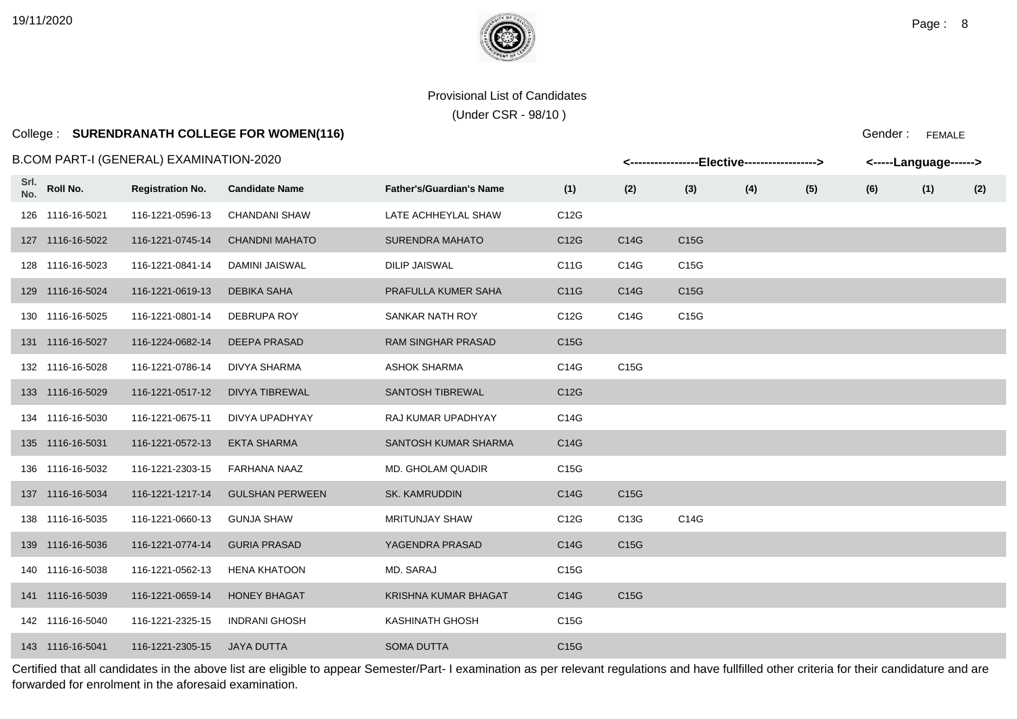# College : **SURENDRANATH COLLEGE FOR WOMEN(116)**

### B.COM PART-I (GENERAL) EXAMINATION-2020

|             |                  | 3.COM PART-I (GENERAL) EXAMINATION-2020 |                        |                                 |                   |      | <-----------------Elective-----------------> |     |     |     | <-----Language------> |     |
|-------------|------------------|-----------------------------------------|------------------------|---------------------------------|-------------------|------|----------------------------------------------|-----|-----|-----|-----------------------|-----|
| Srl.<br>No. | Roll No.         | <b>Registration No.</b>                 | <b>Candidate Name</b>  | <b>Father's/Guardian's Name</b> | (1)               | (2)  | (3)                                          | (4) | (5) | (6) | (1)                   | (2) |
|             | 126 1116-16-5021 | 116-1221-0596-13                        | <b>CHANDANI SHAW</b>   | LATE ACHHEYLAL SHAW             | C12G              |      |                                              |     |     |     |                       |     |
|             | 127 1116-16-5022 | 116-1221-0745-14                        | <b>CHANDNI MAHATO</b>  | <b>SURENDRA MAHATO</b>          | C12G              | C14G | C15G                                         |     |     |     |                       |     |
|             | 128 1116-16-5023 | 116-1221-0841-14                        | <b>DAMINI JAISWAL</b>  | <b>DILIP JAISWAL</b>            | C11G              | C14G | C15G                                         |     |     |     |                       |     |
|             | 129 1116-16-5024 | 116-1221-0619-13                        | DEBIKA SAHA            | PRAFULLA KUMER SAHA             | C11G              | C14G | C15G                                         |     |     |     |                       |     |
|             | 130 1116-16-5025 | 116-1221-0801-14                        | <b>DEBRUPA ROY</b>     | SANKAR NATH ROY                 | C12G              | C14G | C15G                                         |     |     |     |                       |     |
|             | 131 1116-16-5027 | 116-1224-0682-14                        | DEEPA PRASAD           | <b>RAM SINGHAR PRASAD</b>       | C15G              |      |                                              |     |     |     |                       |     |
|             | 132 1116-16-5028 | 116-1221-0786-14                        | DIVYA SHARMA           | <b>ASHOK SHARMA</b>             | C14G              | C15G |                                              |     |     |     |                       |     |
|             | 133 1116-16-5029 | 116-1221-0517-12                        | <b>DIVYA TIBREWAL</b>  | SANTOSH TIBREWAL                | C12G              |      |                                              |     |     |     |                       |     |
|             | 134 1116-16-5030 | 116-1221-0675-11                        | DIVYA UPADHYAY         | RAJ KUMAR UPADHYAY              | C14G              |      |                                              |     |     |     |                       |     |
|             | 135 1116-16-5031 | 116-1221-0572-13                        | <b>EKTA SHARMA</b>     | SANTOSH KUMAR SHARMA            | C14G              |      |                                              |     |     |     |                       |     |
|             | 136 1116-16-5032 | 116-1221-2303-15                        | FARHANA NAAZ           | <b>MD. GHOLAM QUADIR</b>        | C15G              |      |                                              |     |     |     |                       |     |
|             | 137 1116-16-5034 | 116-1221-1217-14                        | <b>GULSHAN PERWEEN</b> | <b>SK. KAMRUDDIN</b>            | C14G              | C15G |                                              |     |     |     |                       |     |
|             | 138 1116-16-5035 | 116-1221-0660-13                        | <b>GUNJA SHAW</b>      | MRITUNJAY SHAW                  | C12G              | C13G | C14G                                         |     |     |     |                       |     |
|             | 139 1116-16-5036 | 116-1221-0774-14                        | <b>GURIA PRASAD</b>    | YAGENDRA PRASAD                 | C14G              | C15G |                                              |     |     |     |                       |     |
|             | 140 1116-16-5038 | 116-1221-0562-13                        | <b>HENA KHATOON</b>    | MD. SARAJ                       | C15G              |      |                                              |     |     |     |                       |     |
|             | 141 1116-16-5039 | 116-1221-0659-14                        | <b>HONEY BHAGAT</b>    | KRISHNA KUMAR BHAGAT            | C14G              | C15G |                                              |     |     |     |                       |     |
|             | 142 1116-16-5040 | 116-1221-2325-15                        | <b>INDRANI GHOSH</b>   | <b>KASHINATH GHOSH</b>          | C15G              |      |                                              |     |     |     |                       |     |
|             | 143 1116-16-5041 | 116-1221-2305-15                        | <b>JAYA DUTTA</b>      | <b>SOMA DUTTA</b>               | C <sub>15</sub> G |      |                                              |     |     |     |                       |     |

Certified that all candidates in the above list are eligible to appear Semester/Part- I examination as per relevant regulations and have fullfilled other criteria for their candidature and are forwarded for enrolment in the aforesaid examination.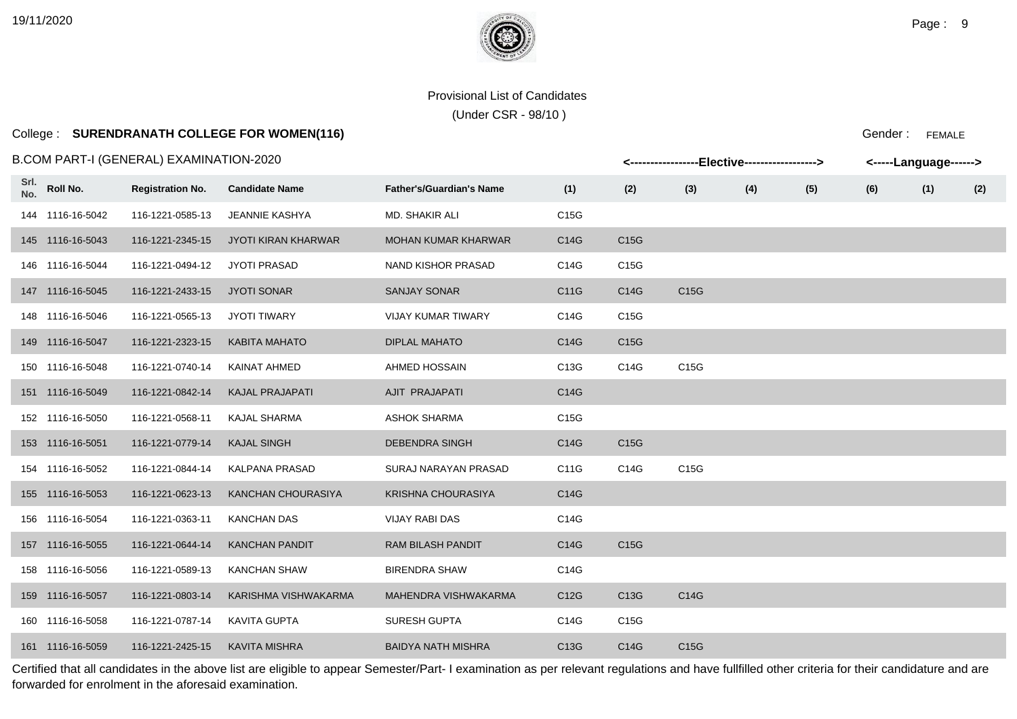# College : **SURENDRANATH COLLEGE FOR WOMEN(116)**

### B.COM PART-I (GENERAL) EXAMINATION-2020

|             |                  | 3.COM PART-I (GENERAL) EXAMINATION-2020 |                            |                                 |      |                   | <-----------------Elective-----------------> |     |     | <-----Language------> |     |     |
|-------------|------------------|-----------------------------------------|----------------------------|---------------------------------|------|-------------------|----------------------------------------------|-----|-----|-----------------------|-----|-----|
| Srl.<br>No. | Roll No.         | <b>Registration No.</b>                 | <b>Candidate Name</b>      | <b>Father's/Guardian's Name</b> | (1)  | (2)               | (3)                                          | (4) | (5) | (6)                   | (1) | (2) |
|             | 144 1116-16-5042 | 116-1221-0585-13                        | JEANNIE KASHYA             | MD. SHAKIR ALI                  | C15G |                   |                                              |     |     |                       |     |     |
|             | 145 1116-16-5043 | 116-1221-2345-15                        | <b>JYOTI KIRAN KHARWAR</b> | <b>MOHAN KUMAR KHARWAR</b>      | C14G | C15G              |                                              |     |     |                       |     |     |
|             | 146 1116-16-5044 | 116-1221-0494-12                        | <b>JYOTI PRASAD</b>        | NAND KISHOR PRASAD              | C14G | C15G              |                                              |     |     |                       |     |     |
|             | 147 1116-16-5045 | 116-1221-2433-15                        | <b>JYOTI SONAR</b>         | <b>SANJAY SONAR</b>             | C11G | C14G              | C15G                                         |     |     |                       |     |     |
|             | 148 1116-16-5046 | 116-1221-0565-13                        | <b>JYOTI TIWARY</b>        | <b>VIJAY KUMAR TIWARY</b>       | C14G | C15G              |                                              |     |     |                       |     |     |
|             | 149 1116-16-5047 | 116-1221-2323-15                        | <b>KABITA MAHATO</b>       | <b>DIPLAL MAHATO</b>            | C14G | C15G              |                                              |     |     |                       |     |     |
|             | 150 1116-16-5048 | 116-1221-0740-14                        | KAINAT AHMED               | AHMED HOSSAIN                   | C13G | C14G              | C15G                                         |     |     |                       |     |     |
|             | 151 1116-16-5049 | 116-1221-0842-14                        | <b>KAJAL PRAJAPATI</b>     | AJIT PRAJAPATI                  | C14G |                   |                                              |     |     |                       |     |     |
|             | 152 1116-16-5050 | 116-1221-0568-11                        | <b>KAJAL SHARMA</b>        | <b>ASHOK SHARMA</b>             | C15G |                   |                                              |     |     |                       |     |     |
|             | 153 1116-16-5051 | 116-1221-0779-14                        | <b>KAJAL SINGH</b>         | <b>DEBENDRA SINGH</b>           | C14G | C <sub>15</sub> G |                                              |     |     |                       |     |     |
|             | 154 1116-16-5052 | 116-1221-0844-14                        | <b>KALPANA PRASAD</b>      | SURAJ NARAYAN PRASAD            | C11G | C14G              | C15G                                         |     |     |                       |     |     |
|             | 155 1116-16-5053 | 116-1221-0623-13                        | KANCHAN CHOURASIYA         | <b>KRISHNA CHOURASIYA</b>       | C14G |                   |                                              |     |     |                       |     |     |
|             | 156 1116-16-5054 | 116-1221-0363-11                        | <b>KANCHAN DAS</b>         | <b>VIJAY RABI DAS</b>           | C14G |                   |                                              |     |     |                       |     |     |
|             | 157 1116-16-5055 | 116-1221-0644-14                        | <b>KANCHAN PANDIT</b>      | <b>RAM BILASH PANDIT</b>        | C14G | C <sub>15</sub> G |                                              |     |     |                       |     |     |
|             | 158 1116-16-5056 | 116-1221-0589-13                        | <b>KANCHAN SHAW</b>        | <b>BIRENDRA SHAW</b>            | C14G |                   |                                              |     |     |                       |     |     |
|             | 159 1116-16-5057 | 116-1221-0803-14                        | KARISHMA VISHWAKARMA       | MAHENDRA VISHWAKARMA            | C12G | C13G              | C14G                                         |     |     |                       |     |     |
|             | 160 1116-16-5058 | 116-1221-0787-14                        | <b>KAVITA GUPTA</b>        | <b>SURESH GUPTA</b>             | C14G | C15G              |                                              |     |     |                       |     |     |
|             | 161 1116-16-5059 | 116-1221-2425-15                        | <b>KAVITA MISHRA</b>       | <b>BAIDYA NATH MISHRA</b>       | C13G | C14G              | C15G                                         |     |     |                       |     |     |

Certified that all candidates in the above list are eligible to appear Semester/Part- I examination as per relevant regulations and have fullfilled other criteria for their candidature and are forwarded for enrolment in the aforesaid examination.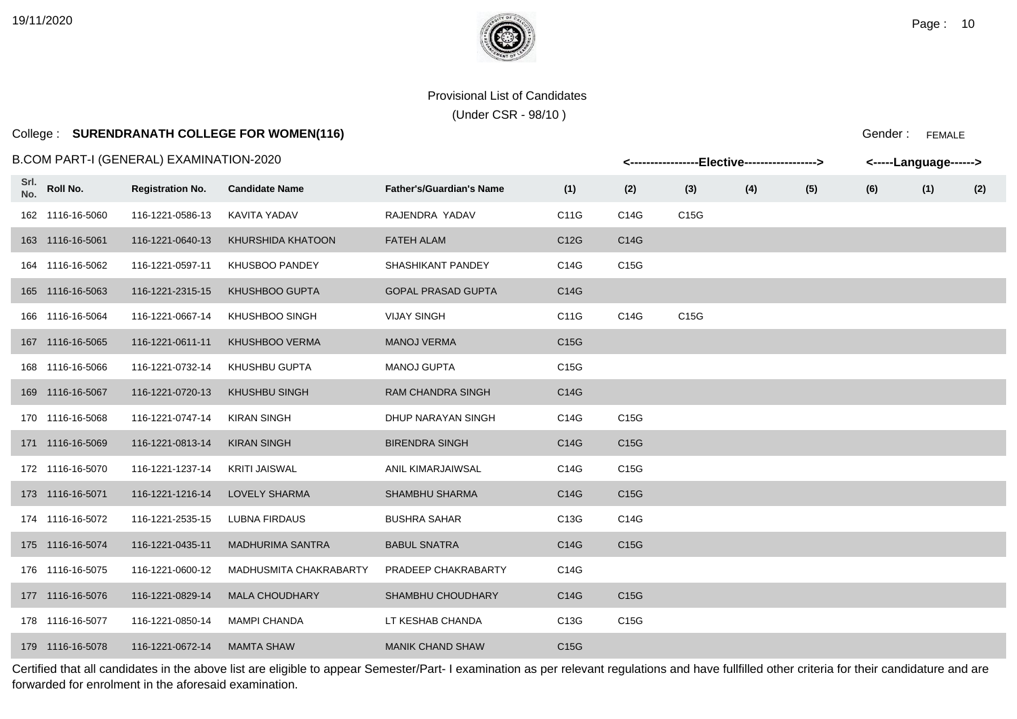(Under CSR - 98/10 )

# College : **SURENDRANATH COLLEGE FOR WOMEN(116)**

B.COM PART-I (GENERAL) EXAMINATION-2020

|             |                  | .COM PART-I (GENERAL) EXAMINATION-2020 |                         |                                 |                   |                   |      | <-----------------Elective-----------------> |     |     | <-----Language------> |     |
|-------------|------------------|----------------------------------------|-------------------------|---------------------------------|-------------------|-------------------|------|----------------------------------------------|-----|-----|-----------------------|-----|
| Srl.<br>No. | Roll No.         | <b>Registration No.</b>                | <b>Candidate Name</b>   | <b>Father's/Guardian's Name</b> | (1)               | (2)               | (3)  | (4)                                          | (5) | (6) | (1)                   | (2) |
|             | 162 1116-16-5060 | 116-1221-0586-13                       | KAVITA YADAV            | RAJENDRA YADAV                  | C11G              | C14G              | C15G |                                              |     |     |                       |     |
|             | 163 1116-16-5061 | 116-1221-0640-13                       | KHURSHIDA KHATOON       | <b>FATEH ALAM</b>               | C12G              | C14G              |      |                                              |     |     |                       |     |
|             | 164 1116-16-5062 | 116-1221-0597-11                       | KHUSBOO PANDEY          | SHASHIKANT PANDEY               | C14G              | C15G              |      |                                              |     |     |                       |     |
|             | 165 1116-16-5063 | 116-1221-2315-15                       | KHUSHBOO GUPTA          | <b>GOPAL PRASAD GUPTA</b>       | C14G              |                   |      |                                              |     |     |                       |     |
|             | 166 1116-16-5064 | 116-1221-0667-14                       | KHUSHBOO SINGH          | <b>VIJAY SINGH</b>              | C11G              | C14G              | C15G |                                              |     |     |                       |     |
|             | 167 1116-16-5065 | 116-1221-0611-11                       | <b>KHUSHBOO VERMA</b>   | <b>MANOJ VERMA</b>              | C <sub>15</sub> G |                   |      |                                              |     |     |                       |     |
|             | 168 1116-16-5066 | 116-1221-0732-14                       | KHUSHBU GUPTA           | <b>MANOJ GUPTA</b>              | C <sub>15</sub> G |                   |      |                                              |     |     |                       |     |
|             | 169 1116-16-5067 | 116-1221-0720-13                       | <b>KHUSHBU SINGH</b>    | <b>RAM CHANDRA SINGH</b>        | C14G              |                   |      |                                              |     |     |                       |     |
|             | 170 1116-16-5068 | 116-1221-0747-14                       | <b>KIRAN SINGH</b>      | DHUP NARAYAN SINGH              | C14G              | C15G              |      |                                              |     |     |                       |     |
|             | 171 1116-16-5069 | 116-1221-0813-14                       | <b>KIRAN SINGH</b>      | <b>BIRENDRA SINGH</b>           | C14G              | C15G              |      |                                              |     |     |                       |     |
|             | 172 1116-16-5070 | 116-1221-1237-14                       | <b>KRITI JAISWAL</b>    | ANIL KIMARJAIWSAL               | C14G              | C15G              |      |                                              |     |     |                       |     |
|             | 173 1116-16-5071 | 116-1221-1216-14                       | <b>LOVELY SHARMA</b>    | <b>SHAMBHU SHARMA</b>           | C14G              | C15G              |      |                                              |     |     |                       |     |
|             | 174 1116-16-5072 | 116-1221-2535-15                       | <b>LUBNA FIRDAUS</b>    | <b>BUSHRA SAHAR</b>             | C13G              | C14G              |      |                                              |     |     |                       |     |
|             | 175 1116-16-5074 | 116-1221-0435-11                       | <b>MADHURIMA SANTRA</b> | <b>BABUL SNATRA</b>             | C14G              | C <sub>15</sub> G |      |                                              |     |     |                       |     |
|             | 176 1116-16-5075 | 116-1221-0600-12                       | MADHUSMITA CHAKRABARTY  | PRADEEP CHAKRABARTY             | C14G              |                   |      |                                              |     |     |                       |     |
|             | 177 1116-16-5076 | 116-1221-0829-14                       | <b>MALA CHOUDHARY</b>   | SHAMBHU CHOUDHARY               | C14G              | C15G              |      |                                              |     |     |                       |     |
|             | 178 1116-16-5077 | 116-1221-0850-14                       | <b>MAMPI CHANDA</b>     | LT KESHAB CHANDA                | C13G              | C15G              |      |                                              |     |     |                       |     |
|             | 179 1116-16-5078 | 116-1221-0672-14                       | <b>MAMTA SHAW</b>       | <b>MANIK CHAND SHAW</b>         | C <sub>15</sub> G |                   |      |                                              |     |     |                       |     |

Certified that all candidates in the above list are eligible to appear Semester/Part- I examination as per relevant regulations and have fullfilled other criteria for their candidature and are forwarded for enrolment in the aforesaid examination.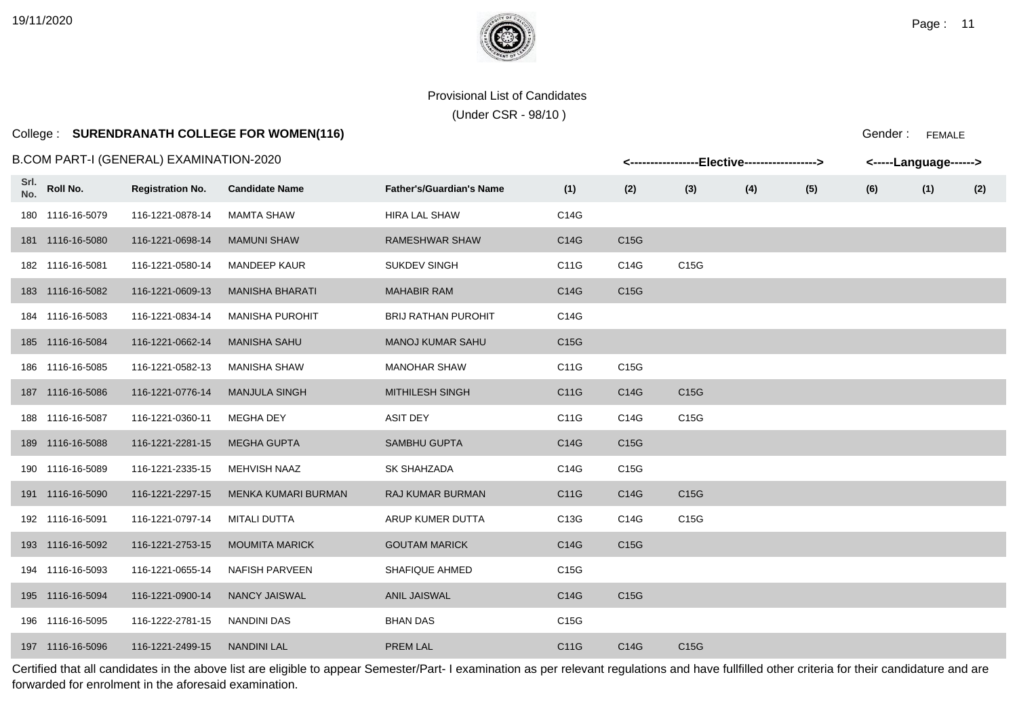# College : **SURENDRANATH COLLEGE FOR WOMEN(116)**

### B.COM PART-I (GENERAL) EXAMINATION-2020

|             |                  | .COM PART-I (GENERAL) EXAMINATION-2020 |                        |                                 |                   |                   | <-----------------Elective-----------------> |     |     | <-----Language------> |     |     |
|-------------|------------------|----------------------------------------|------------------------|---------------------------------|-------------------|-------------------|----------------------------------------------|-----|-----|-----------------------|-----|-----|
| Srl.<br>No. | Roll No.         | <b>Registration No.</b>                | <b>Candidate Name</b>  | <b>Father's/Guardian's Name</b> | (1)               | (2)               | (3)                                          | (4) | (5) | (6)                   | (1) | (2) |
|             | 180 1116-16-5079 | 116-1221-0878-14                       | <b>MAMTA SHAW</b>      | <b>HIRA LAL SHAW</b>            | C14G              |                   |                                              |     |     |                       |     |     |
|             | 181 1116-16-5080 | 116-1221-0698-14                       | <b>MAMUNI SHAW</b>     | <b>RAMESHWAR SHAW</b>           | C14G              | C <sub>15</sub> G |                                              |     |     |                       |     |     |
|             | 182 1116-16-5081 | 116-1221-0580-14                       | <b>MANDEEP KAUR</b>    | <b>SUKDEV SINGH</b>             | C11G              | C14G              | C15G                                         |     |     |                       |     |     |
|             | 183 1116-16-5082 | 116-1221-0609-13                       | <b>MANISHA BHARATI</b> | <b>MAHABIR RAM</b>              | C14G              | C15G              |                                              |     |     |                       |     |     |
|             | 184 1116-16-5083 | 116-1221-0834-14                       | <b>MANISHA PUROHIT</b> | <b>BRIJ RATHAN PUROHIT</b>      | C14G              |                   |                                              |     |     |                       |     |     |
|             | 185 1116-16-5084 | 116-1221-0662-14                       | <b>MANISHA SAHU</b>    | <b>MANOJ KUMAR SAHU</b>         | C15G              |                   |                                              |     |     |                       |     |     |
|             | 186 1116-16-5085 | 116-1221-0582-13                       | <b>MANISHA SHAW</b>    | <b>MANOHAR SHAW</b>             | C11G              | C15G              |                                              |     |     |                       |     |     |
|             | 187 1116-16-5086 | 116-1221-0776-14                       | <b>MANJULA SINGH</b>   | <b>MITHILESH SINGH</b>          | C11G              | C14G              | C15G                                         |     |     |                       |     |     |
|             | 188 1116-16-5087 | 116-1221-0360-11                       | MEGHA DEY              | <b>ASIT DEY</b>                 | C11G              | C14G              | C15G                                         |     |     |                       |     |     |
|             | 189 1116-16-5088 | 116-1221-2281-15                       | <b>MEGHA GUPTA</b>     | <b>SAMBHU GUPTA</b>             | C14G              | C15G              |                                              |     |     |                       |     |     |
|             | 190 1116-16-5089 | 116-1221-2335-15                       | MEHVISH NAAZ           | SK SHAHZADA                     | C14G              | C15G              |                                              |     |     |                       |     |     |
|             | 191 1116-16-5090 | 116-1221-2297-15                       | MENKA KUMARI BURMAN    | <b>RAJ KUMAR BURMAN</b>         | C11G              | C14G              | C15G                                         |     |     |                       |     |     |
|             | 192 1116-16-5091 | 116-1221-0797-14                       | <b>MITALI DUTTA</b>    | ARUP KUMER DUTTA                | C13G              | C14G              | C15G                                         |     |     |                       |     |     |
|             | 193 1116-16-5092 | 116-1221-2753-15                       | <b>MOUMITA MARICK</b>  | <b>GOUTAM MARICK</b>            | C14G              | C <sub>15</sub> G |                                              |     |     |                       |     |     |
|             | 194 1116-16-5093 | 116-1221-0655-14                       | <b>NAFISH PARVEEN</b>  | <b>SHAFIQUE AHMED</b>           | C15G              |                   |                                              |     |     |                       |     |     |
|             | 195 1116-16-5094 | 116-1221-0900-14                       | <b>NANCY JAISWAL</b>   | <b>ANIL JAISWAL</b>             | C14G              | C15G              |                                              |     |     |                       |     |     |
|             | 196 1116-16-5095 | 116-1222-2781-15                       | NANDINI DAS            | <b>BHAN DAS</b>                 | C <sub>15</sub> G |                   |                                              |     |     |                       |     |     |
|             | 197 1116-16-5096 | 116-1221-2499-15                       | <b>NANDINI LAL</b>     | PREM LAL                        | C11G              | C14G              | C15G                                         |     |     |                       |     |     |

Certified that all candidates in the above list are eligible to appear Semester/Part- I examination as per relevant regulations and have fullfilled other criteria for their candidature and are forwarded for enrolment in the aforesaid examination.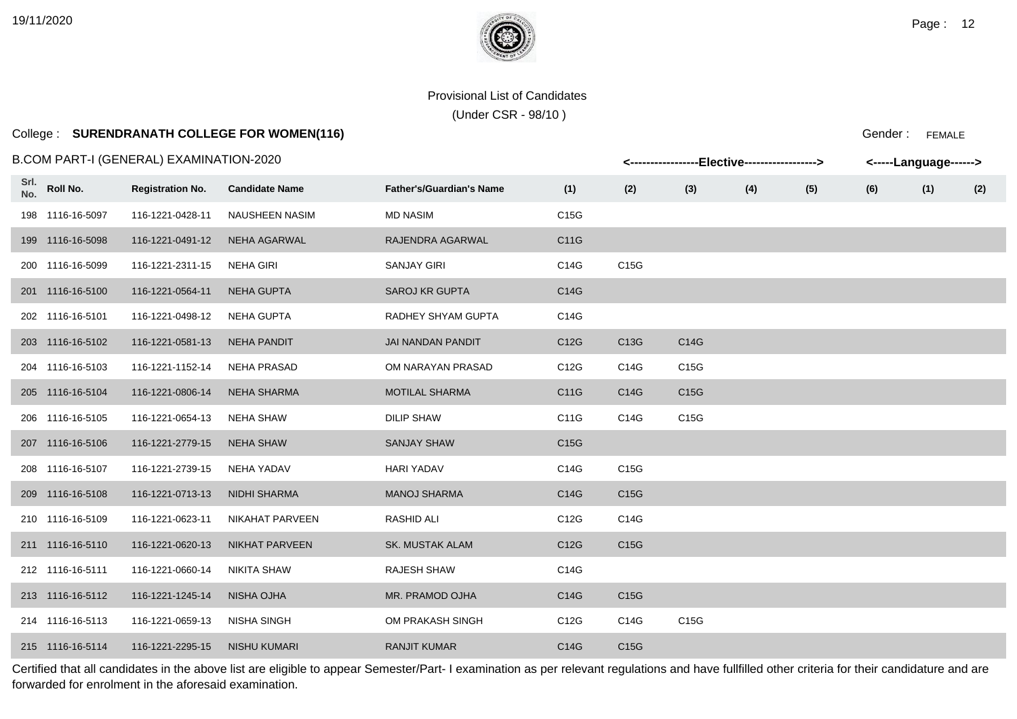# College : **SURENDRANATH COLLEGE FOR WOMEN(116)**

### B.COM PART-I (GENERAL) EXAMINATION-2020

|             |                  | B.COM PART-I (GENERAL) EXAMINATION-2020 |                       |                                 |                   |                   | <-----------------Elective-----------------> |     |     | <-----Language------> |     |     |
|-------------|------------------|-----------------------------------------|-----------------------|---------------------------------|-------------------|-------------------|----------------------------------------------|-----|-----|-----------------------|-----|-----|
| Srl.<br>No. | Roll No.         | <b>Registration No.</b>                 | <b>Candidate Name</b> | <b>Father's/Guardian's Name</b> | (1)               | (2)               | (3)                                          | (4) | (5) | (6)                   | (1) | (2) |
|             | 198 1116-16-5097 | 116-1221-0428-11                        | <b>NAUSHEEN NASIM</b> | <b>MD NASIM</b>                 | C15G              |                   |                                              |     |     |                       |     |     |
|             | 199 1116-16-5098 | 116-1221-0491-12                        | <b>NEHA AGARWAL</b>   | RAJENDRA AGARWAL                | C11G              |                   |                                              |     |     |                       |     |     |
|             | 200 1116-16-5099 | 116-1221-2311-15                        | <b>NEHA GIRI</b>      | <b>SANJAY GIRI</b>              | C14G              | C15G              |                                              |     |     |                       |     |     |
|             | 201 1116-16-5100 | 116-1221-0564-11                        | <b>NEHA GUPTA</b>     | <b>SAROJ KR GUPTA</b>           | C14G              |                   |                                              |     |     |                       |     |     |
|             | 202 1116-16-5101 | 116-1221-0498-12                        | NEHA GUPTA            | RADHEY SHYAM GUPTA              | C14G              |                   |                                              |     |     |                       |     |     |
|             | 203 1116-16-5102 | 116-1221-0581-13                        | <b>NEHA PANDIT</b>    | JAI NANDAN PANDIT               | C12G              | C13G              | C14G                                         |     |     |                       |     |     |
|             | 204 1116-16-5103 | 116-1221-1152-14                        | <b>NEHA PRASAD</b>    | OM NARAYAN PRASAD               | C12G              | C14G              | C15G                                         |     |     |                       |     |     |
|             | 205 1116-16-5104 | 116-1221-0806-14                        | <b>NEHA SHARMA</b>    | <b>MOTILAL SHARMA</b>           | C11G              | C14G              | C15G                                         |     |     |                       |     |     |
|             | 206 1116-16-5105 | 116-1221-0654-13                        | NEHA SHAW             | <b>DILIP SHAW</b>               | C11G              | C14G              | C15G                                         |     |     |                       |     |     |
|             | 207 1116-16-5106 | 116-1221-2779-15                        | <b>NEHA SHAW</b>      | <b>SANJAY SHAW</b>              | C <sub>15</sub> G |                   |                                              |     |     |                       |     |     |
|             | 208 1116-16-5107 | 116-1221-2739-15                        | NEHA YADAV            | <b>HARI YADAV</b>               | C14G              | C15G              |                                              |     |     |                       |     |     |
|             | 209 1116-16-5108 | 116-1221-0713-13                        | <b>NIDHI SHARMA</b>   | <b>MANOJ SHARMA</b>             | C14G              | C <sub>15</sub> G |                                              |     |     |                       |     |     |
|             | 210 1116-16-5109 | 116-1221-0623-11                        | NIKAHAT PARVEEN       | <b>RASHID ALI</b>               | C12G              | C14G              |                                              |     |     |                       |     |     |
|             | 211 1116-16-5110 | 116-1221-0620-13                        | <b>NIKHAT PARVEEN</b> | <b>SK. MUSTAK ALAM</b>          | C12G              | C15G              |                                              |     |     |                       |     |     |
|             | 212 1116-16-5111 | 116-1221-0660-14                        | <b>NIKITA SHAW</b>    | RAJESH SHAW                     | C14G              |                   |                                              |     |     |                       |     |     |
|             | 213 1116-16-5112 | 116-1221-1245-14                        | NISHA OJHA            | MR. PRAMOD OJHA                 | C14G              | C <sub>15</sub> G |                                              |     |     |                       |     |     |
|             | 214 1116-16-5113 | 116-1221-0659-13                        | <b>NISHA SINGH</b>    | OM PRAKASH SINGH                | C12G              | C14G              | C15G                                         |     |     |                       |     |     |
|             | 215 1116-16-5114 | 116-1221-2295-15                        | <b>NISHU KUMARI</b>   | <b>RANJIT KUMAR</b>             | C14G              | C <sub>15</sub> G |                                              |     |     |                       |     |     |

Certified that all candidates in the above list are eligible to appear Semester/Part- I examination as per relevant regulations and have fullfilled other criteria for their candidature and are forwarded for enrolment in the aforesaid examination.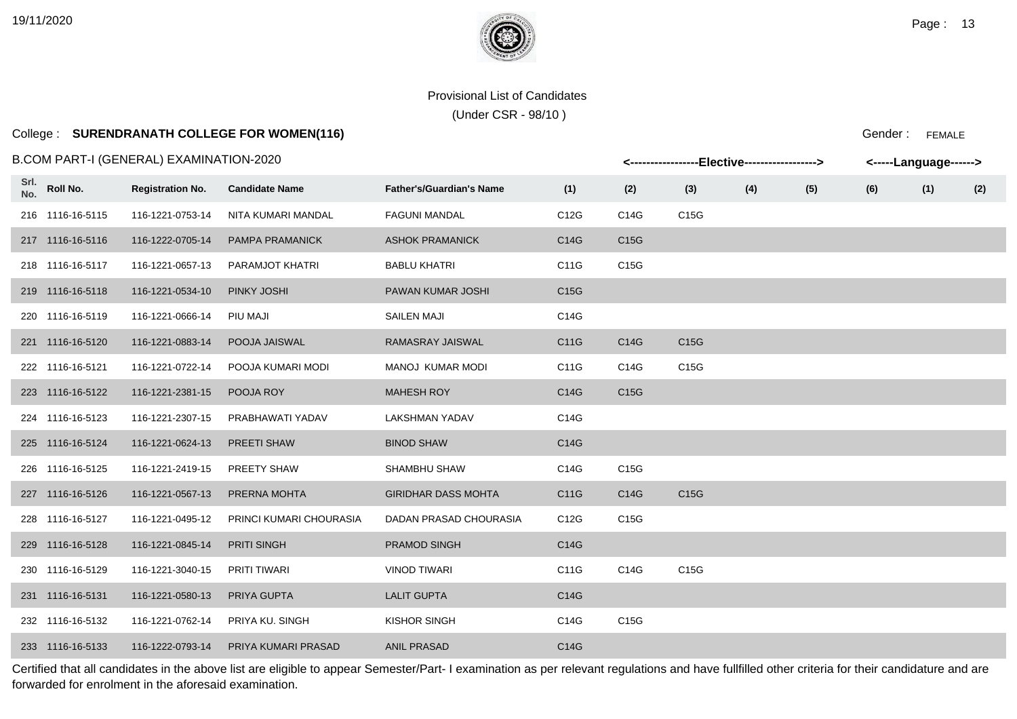(Under CSR - 98/10 )

# College : **SURENDRANATH COLLEGE FOR WOMEN(116)**

#### B.COM PART-I (GENERAL) EXAMINATION-2020

Gender : FEMALE

|             |                  | B.COM PART-I (GENERAL) EXAMINATION-2020 |                         |                                 |                   | <-----------------Elective-----------------> |      |     |     |     | <-----Language------> |     |  |
|-------------|------------------|-----------------------------------------|-------------------------|---------------------------------|-------------------|----------------------------------------------|------|-----|-----|-----|-----------------------|-----|--|
| Srl.<br>No. | Roll No.         | <b>Registration No.</b>                 | <b>Candidate Name</b>   | <b>Father's/Guardian's Name</b> | (1)               | (2)                                          | (3)  | (4) | (5) | (6) | (1)                   | (2) |  |
|             | 216 1116-16-5115 | 116-1221-0753-14                        | NITA KUMARI MANDAL      | <b>FAGUNI MANDAL</b>            | C12G              | C14G                                         | C15G |     |     |     |                       |     |  |
|             | 217 1116-16-5116 | 116-1222-0705-14                        | <b>PAMPA PRAMANICK</b>  | <b>ASHOK PRAMANICK</b>          | C14G              | C15G                                         |      |     |     |     |                       |     |  |
|             | 218 1116-16-5117 | 116-1221-0657-13                        | PARAMJOT KHATRI         | <b>BABLU KHATRI</b>             | C11G              | C15G                                         |      |     |     |     |                       |     |  |
|             | 219 1116-16-5118 | 116-1221-0534-10                        | PINKY JOSHI             | PAWAN KUMAR JOSHI               | C <sub>15</sub> G |                                              |      |     |     |     |                       |     |  |
|             | 220 1116-16-5119 | 116-1221-0666-14                        | PIU MAJI                | <b>SAILEN MAJI</b>              | C14G              |                                              |      |     |     |     |                       |     |  |
|             | 221 1116-16-5120 | 116-1221-0883-14                        | POOJA JAISWAL           | RAMASRAY JAISWAL                | C11G              | C14G                                         | C15G |     |     |     |                       |     |  |
|             | 222 1116-16-5121 | 116-1221-0722-14                        | POOJA KUMARI MODI       | MANOJ KUMAR MODI                | C11G              | C14G                                         | C15G |     |     |     |                       |     |  |
|             | 223 1116-16-5122 | 116-1221-2381-15                        | POOJA ROY               | <b>MAHESH ROY</b>               | C14G              | C <sub>15</sub> G                            |      |     |     |     |                       |     |  |
|             | 224 1116-16-5123 | 116-1221-2307-15                        | PRABHAWATI YADAV        | <b>LAKSHMAN YADAV</b>           | C14G              |                                              |      |     |     |     |                       |     |  |
|             | 225 1116-16-5124 | 116-1221-0624-13                        | PREETI SHAW             | <b>BINOD SHAW</b>               | C14G              |                                              |      |     |     |     |                       |     |  |
|             | 226 1116-16-5125 | 116-1221-2419-15                        | PREETY SHAW             | SHAMBHU SHAW                    | C14G              | C15G                                         |      |     |     |     |                       |     |  |
|             | 227 1116-16-5126 | 116-1221-0567-13                        | PRERNA MOHTA            | <b>GIRIDHAR DASS MOHTA</b>      | C11G              | C14G                                         | C15G |     |     |     |                       |     |  |
|             | 228 1116-16-5127 | 116-1221-0495-12                        | PRINCI KUMARI CHOURASIA | DADAN PRASAD CHOURASIA          | C12G              | C15G                                         |      |     |     |     |                       |     |  |
|             | 229 1116-16-5128 | 116-1221-0845-14                        | <b>PRITI SINGH</b>      | <b>PRAMOD SINGH</b>             | C14G              |                                              |      |     |     |     |                       |     |  |
|             | 230 1116-16-5129 | 116-1221-3040-15                        | PRITI TIWARI            | <b>VINOD TIWARI</b>             | C11G              | C14G                                         | C15G |     |     |     |                       |     |  |
|             | 231 1116-16-5131 | 116-1221-0580-13                        | PRIYA GUPTA             | <b>LALIT GUPTA</b>              | C14G              |                                              |      |     |     |     |                       |     |  |
|             | 232 1116-16-5132 | 116-1221-0762-14                        | PRIYA KU. SINGH         | KISHOR SINGH                    | C14G              | C15G                                         |      |     |     |     |                       |     |  |
|             | 233 1116-16-5133 | 116-1222-0793-14                        | PRIYA KUMARI PRASAD     | <b>ANIL PRASAD</b>              | C14G              |                                              |      |     |     |     |                       |     |  |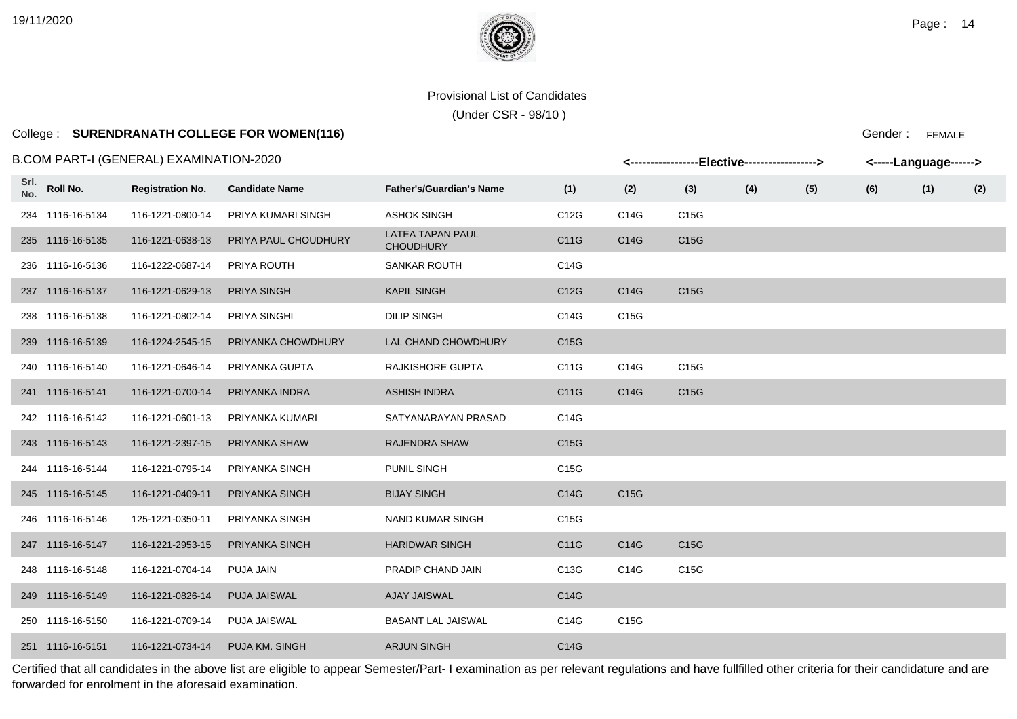(Under CSR - 98/10 )

# College : **SURENDRANATH COLLEGE FOR WOMEN(116)**

Gender : FEMALE

|             | B.COM PART-I (GENERAL) EXAMINATION-2020 |                         | <----------------Elective-----------------> |                                             | <-----Language------> |      |                   |     |     |     |     |     |
|-------------|-----------------------------------------|-------------------------|---------------------------------------------|---------------------------------------------|-----------------------|------|-------------------|-----|-----|-----|-----|-----|
| Srl.<br>No. | Roll No.                                | <b>Registration No.</b> | <b>Candidate Name</b>                       | <b>Father's/Guardian's Name</b>             | (1)                   | (2)  | (3)               | (4) | (5) | (6) | (1) | (2) |
|             | 234 1116-16-5134                        | 116-1221-0800-14        | PRIYA KUMARI SINGH                          | <b>ASHOK SINGH</b>                          | C12G                  | C14G | C15G              |     |     |     |     |     |
|             | 235 1116-16-5135                        | 116-1221-0638-13        | PRIYA PAUL CHOUDHURY                        | <b>LATEA TAPAN PAUL</b><br><b>CHOUDHURY</b> | C11G                  | C14G | C15G              |     |     |     |     |     |
|             | 236 1116-16-5136                        | 116-1222-0687-14        | PRIYA ROUTH                                 | <b>SANKAR ROUTH</b>                         | C14G                  |      |                   |     |     |     |     |     |
|             | 237 1116-16-5137                        | 116-1221-0629-13        | <b>PRIYA SINGH</b>                          | <b>KAPIL SINGH</b>                          | C12G                  | C14G | C15G              |     |     |     |     |     |
|             | 238 1116-16-5138                        | 116-1221-0802-14        | PRIYA SINGHI                                | <b>DILIP SINGH</b>                          | C14G                  | C15G |                   |     |     |     |     |     |
|             | 239 1116-16-5139                        | 116-1224-2545-15        | PRIYANKA CHOWDHURY                          | LAL CHAND CHOWDHURY                         | C <sub>15</sub> G     |      |                   |     |     |     |     |     |
|             | 240 1116-16-5140                        | 116-1221-0646-14        | PRIYANKA GUPTA                              | RAJKISHORE GUPTA                            | C11G                  | C14G | C15G              |     |     |     |     |     |
|             | 241 1116-16-5141                        | 116-1221-0700-14        | PRIYANKA INDRA                              | <b>ASHISH INDRA</b>                         | C11G                  | C14G | C <sub>15</sub> G |     |     |     |     |     |
|             | 242 1116-16-5142                        | 116-1221-0601-13        | PRIYANKA KUMARI                             | SATYANARAYAN PRASAD                         | C14G                  |      |                   |     |     |     |     |     |
|             | 243 1116-16-5143                        | 116-1221-2397-15        | PRIYANKA SHAW                               | RAJENDRA SHAW                               | C15G                  |      |                   |     |     |     |     |     |
|             | 244 1116-16-5144                        | 116-1221-0795-14        | PRIYANKA SINGH                              | PUNIL SINGH                                 | C15G                  |      |                   |     |     |     |     |     |
|             | 245 1116-16-5145                        | 116-1221-0409-11        | PRIYANKA SINGH                              | <b>BIJAY SINGH</b>                          | C14G                  | C15G |                   |     |     |     |     |     |
|             | 246 1116-16-5146                        | 125-1221-0350-11        | PRIYANKA SINGH                              | <b>NAND KUMAR SINGH</b>                     | C15G                  |      |                   |     |     |     |     |     |
|             | 247 1116-16-5147                        | 116-1221-2953-15        | PRIYANKA SINGH                              | <b>HARIDWAR SINGH</b>                       | C11G                  | C14G | C15G              |     |     |     |     |     |
|             | 248 1116-16-5148                        | 116-1221-0704-14        | PUJA JAIN                                   | PRADIP CHAND JAIN                           | C13G                  | C14G | C15G              |     |     |     |     |     |
|             | 249 1116-16-5149                        | 116-1221-0826-14        | <b>PUJA JAISWAL</b>                         | <b>AJAY JAISWAL</b>                         | C14G                  |      |                   |     |     |     |     |     |
|             | 250 1116-16-5150                        | 116-1221-0709-14        | PUJA JAISWAL                                | <b>BASANT LAL JAISWAL</b>                   | C14G                  | C15G |                   |     |     |     |     |     |
|             | 251 1116-16-5151                        | 116-1221-0734-14        | PUJA KM. SINGH                              | <b>ARJUN SINGH</b>                          | C14G                  |      |                   |     |     |     |     |     |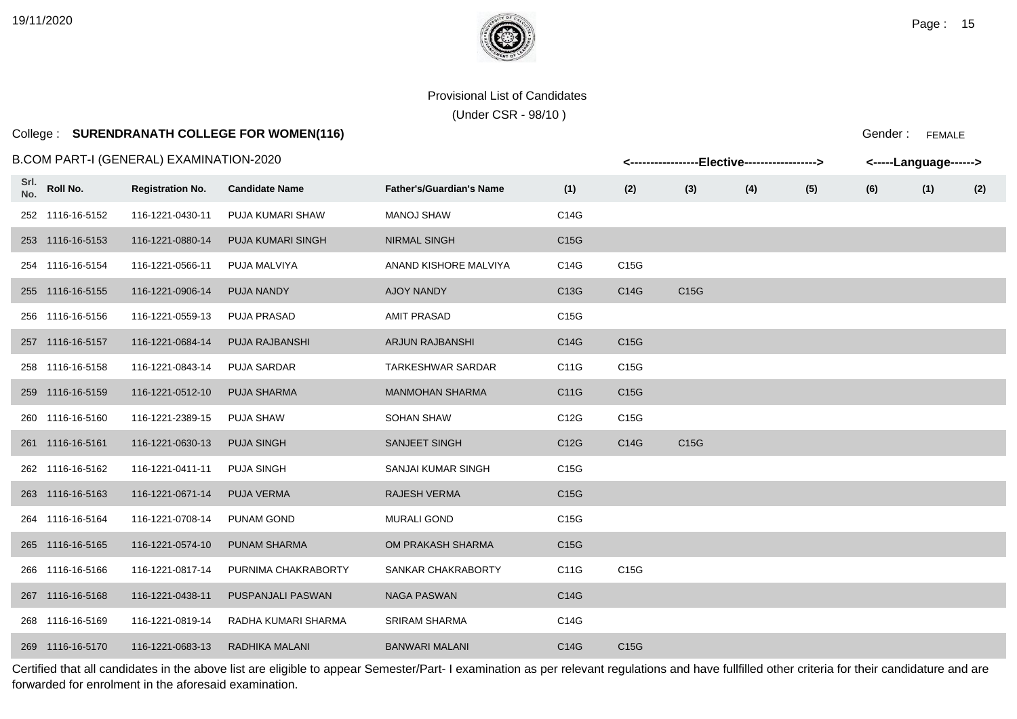(Under CSR - 98/10 )

# College : **SURENDRANATH COLLEGE FOR WOMEN(116)**

### B.COM PART-I (GENERAL) EXAMINATION-2020

|             |                  | 3.COM PART-I (GENERAL) EXAMINATION-2020 |                          |                                 | <----------------Elective-----------------> |      | <-----Language------> |     |     |     |     |     |
|-------------|------------------|-----------------------------------------|--------------------------|---------------------------------|---------------------------------------------|------|-----------------------|-----|-----|-----|-----|-----|
| Srl.<br>No. | Roll No.         | <b>Registration No.</b>                 | <b>Candidate Name</b>    | <b>Father's/Guardian's Name</b> | (1)                                         | (2)  | (3)                   | (4) | (5) | (6) | (1) | (2) |
|             | 252 1116-16-5152 | 116-1221-0430-11                        | PUJA KUMARI SHAW         | <b>MANOJ SHAW</b>               | C14G                                        |      |                       |     |     |     |     |     |
|             | 253 1116-16-5153 | 116-1221-0880-14                        | <b>PUJA KUMARI SINGH</b> | <b>NIRMAL SINGH</b>             | C <sub>15</sub> G                           |      |                       |     |     |     |     |     |
|             | 254 1116-16-5154 | 116-1221-0566-11                        | PUJA MALVIYA             | ANAND KISHORE MALVIYA           | C14G                                        | C15G |                       |     |     |     |     |     |
|             | 255 1116-16-5155 | 116-1221-0906-14                        | PUJA NANDY               | AJOY NANDY                      | C13G                                        | C14G | C15G                  |     |     |     |     |     |
|             | 256 1116-16-5156 | 116-1221-0559-13                        | PUJA PRASAD              | <b>AMIT PRASAD</b>              | C15G                                        |      |                       |     |     |     |     |     |
|             | 257 1116-16-5157 | 116-1221-0684-14                        | PUJA RAJBANSHI           | <b>ARJUN RAJBANSHI</b>          | C14G                                        | C15G |                       |     |     |     |     |     |
|             | 258 1116-16-5158 | 116-1221-0843-14                        | <b>PUJA SARDAR</b>       | <b>TARKESHWAR SARDAR</b>        | C11G                                        | C15G |                       |     |     |     |     |     |
|             | 259 1116-16-5159 | 116-1221-0512-10                        | PUJA SHARMA              | <b>MANMOHAN SHARMA</b>          | C11G                                        | C15G |                       |     |     |     |     |     |
|             | 260 1116-16-5160 | 116-1221-2389-15                        | <b>PUJA SHAW</b>         | <b>SOHAN SHAW</b>               | C12G                                        | C15G |                       |     |     |     |     |     |
|             | 261 1116-16-5161 | 116-1221-0630-13                        | <b>PUJA SINGH</b>        | <b>SANJEET SINGH</b>            | C12G                                        | C14G | C15G                  |     |     |     |     |     |
|             | 262 1116-16-5162 | 116-1221-0411-11                        | PUJA SINGH               | SANJAI KUMAR SINGH              | C15G                                        |      |                       |     |     |     |     |     |
|             | 263 1116-16-5163 | 116-1221-0671-14                        | PUJA VERMA               | <b>RAJESH VERMA</b>             | C15G                                        |      |                       |     |     |     |     |     |
|             | 264 1116-16-5164 | 116-1221-0708-14                        | <b>PUNAM GOND</b>        | <b>MURALI GOND</b>              | C15G                                        |      |                       |     |     |     |     |     |
|             | 265 1116-16-5165 | 116-1221-0574-10                        | <b>PUNAM SHARMA</b>      | OM PRAKASH SHARMA               | C <sub>15</sub> G                           |      |                       |     |     |     |     |     |
|             | 266 1116-16-5166 | 116-1221-0817-14                        | PURNIMA CHAKRABORTY      | SANKAR CHAKRABORTY              | C11G                                        | C15G |                       |     |     |     |     |     |
|             | 267 1116-16-5168 | 116-1221-0438-11                        | PUSPANJALI PASWAN        | <b>NAGA PASWAN</b>              | C14G                                        |      |                       |     |     |     |     |     |
|             | 268 1116-16-5169 | 116-1221-0819-14                        | RADHA KUMARI SHARMA      | <b>SRIRAM SHARMA</b>            | C14G                                        |      |                       |     |     |     |     |     |
|             | 269 1116-16-5170 | 116-1221-0683-13                        | RADHIKA MALANI           | <b>BANWARI MALANI</b>           | C14G                                        | C15G |                       |     |     |     |     |     |

Certified that all candidates in the above list are eligible to appear Semester/Part- I examination as per relevant regulations and have fullfilled other criteria for their candidature and are forwarded for enrolment in the aforesaid examination.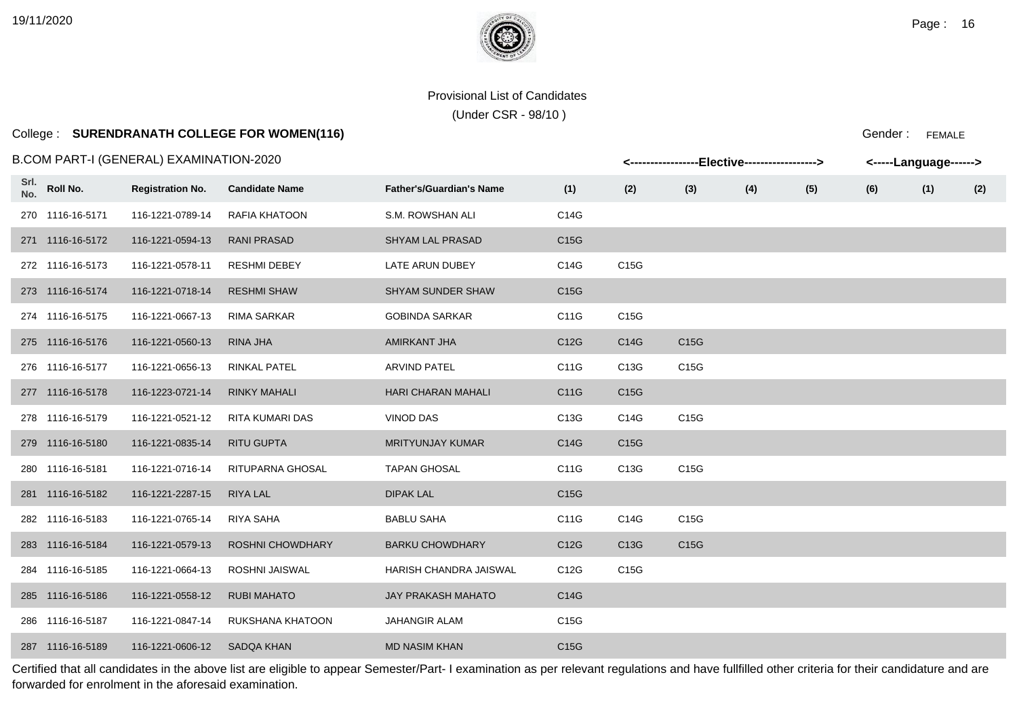**Srl.**

### Provisional List of Candidates

(Under CSR - 98/10 )

# College : **SURENDRANATH COLLEGE FOR WOMEN(116)**

#### B.COM PART-I (GENERAL) EXAMINATION-2020

|             | .COM PART-I (GENERAL) EXAMINATION-2020 | <-----------------Elective-----------------><br><-----Language------> |                         |                                 |                   |                   |                   |     |     |     |     |     |
|-------------|----------------------------------------|-----------------------------------------------------------------------|-------------------------|---------------------------------|-------------------|-------------------|-------------------|-----|-----|-----|-----|-----|
| Srl.<br>No. | Roll No.                               | <b>Registration No.</b>                                               | <b>Candidate Name</b>   | <b>Father's/Guardian's Name</b> | (1)               | (2)               | (3)               | (4) | (5) | (6) | (1) | (2) |
|             | 270 1116-16-5171                       | 116-1221-0789-14                                                      | <b>RAFIA KHATOON</b>    | S.M. ROWSHAN ALI                | C14G              |                   |                   |     |     |     |     |     |
|             | 271 1116-16-5172                       | 116-1221-0594-13                                                      | <b>RANI PRASAD</b>      | <b>SHYAM LAL PRASAD</b>         | C <sub>15</sub> G |                   |                   |     |     |     |     |     |
|             | 272 1116-16-5173                       | 116-1221-0578-11                                                      | <b>RESHMI DEBEY</b>     | LATE ARUN DUBEY                 | C14G              | C15G              |                   |     |     |     |     |     |
|             | 273 1116-16-5174                       | 116-1221-0718-14                                                      | <b>RESHMI SHAW</b>      | <b>SHYAM SUNDER SHAW</b>        | C <sub>15</sub> G |                   |                   |     |     |     |     |     |
|             | 274 1116-16-5175                       | 116-1221-0667-13                                                      | <b>RIMA SARKAR</b>      | <b>GOBINDA SARKAR</b>           | C11G              | C15G              |                   |     |     |     |     |     |
|             | 275 1116-16-5176                       | 116-1221-0560-13                                                      | RINA JHA                | AMIRKANT JHA                    | C12G              | C14G              | C <sub>15</sub> G |     |     |     |     |     |
|             | 276 1116-16-5177                       | 116-1221-0656-13                                                      | <b>RINKAL PATEL</b>     | <b>ARVIND PATEL</b>             | C11G              | C13G              | C <sub>15</sub> G |     |     |     |     |     |
|             | 277 1116-16-5178                       | 116-1223-0721-14                                                      | <b>RINKY MAHALI</b>     | <b>HARI CHARAN MAHALI</b>       | C11G              | C <sub>15</sub> G |                   |     |     |     |     |     |
|             | 278 1116-16-5179                       | 116-1221-0521-12                                                      | RITA KUMARI DAS         | <b>VINOD DAS</b>                | C13G              | C14G              | C15G              |     |     |     |     |     |
|             | 279 1116-16-5180                       | 116-1221-0835-14                                                      | <b>RITU GUPTA</b>       | <b>MRITYUNJAY KUMAR</b>         | C14G              | C <sub>15</sub> G |                   |     |     |     |     |     |
|             | 280 1116-16-5181                       | 116-1221-0716-14                                                      | RITUPARNA GHOSAL        | <b>TAPAN GHOSAL</b>             | C11G              | C13G              | C15G              |     |     |     |     |     |
|             | 281 1116-16-5182                       | 116-1221-2287-15                                                      | RIYA LAL                | <b>DIPAK LAL</b>                | C <sub>15</sub> G |                   |                   |     |     |     |     |     |
|             | 282 1116-16-5183                       | 116-1221-0765-14                                                      | RIYA SAHA               | <b>BABLU SAHA</b>               | C11G              | C14G              | C15G              |     |     |     |     |     |
|             | 283 1116-16-5184                       | 116-1221-0579-13                                                      | <b>ROSHNI CHOWDHARY</b> | <b>BARKU CHOWDHARY</b>          | C12G              | C13G              | C15G              |     |     |     |     |     |
|             | 284 1116-16-5185                       | 116-1221-0664-13                                                      | ROSHNI JAISWAL          | <b>HARISH CHANDRA JAISWAL</b>   | C <sub>12</sub> G | C <sub>15</sub> G |                   |     |     |     |     |     |
|             | 285 1116-16-5186                       | 116-1221-0558-12                                                      | <b>RUBI MAHATO</b>      | JAY PRAKASH MAHATO              | C14G              |                   |                   |     |     |     |     |     |
|             | 286 1116-16-5187                       | 116-1221-0847-14                                                      | RUKSHANA KHATOON        | <b>JAHANGIR ALAM</b>            | C <sub>15</sub> G |                   |                   |     |     |     |     |     |
|             | 287 1116-16-5189                       | 116-1221-0606-12                                                      | <b>SADQA KHAN</b>       | <b>MD NASIM KHAN</b>            | C15G              |                   |                   |     |     |     |     |     |

Certified that all candidates in the above list are eligible to appear Semester/Part- I examination as per relevant regulations and have fullfilled other criteria for their candidature and are forwarded for enrolment in the aforesaid examination.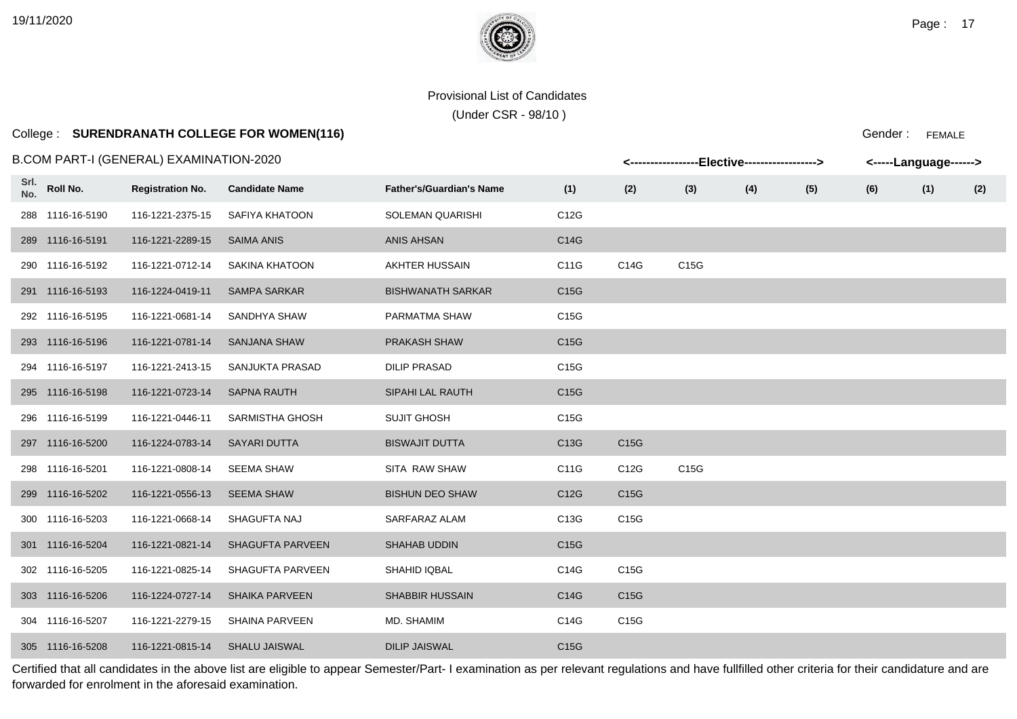(Under CSR - 98/10 )

# College : **SURENDRANATH COLLEGE FOR WOMEN(116)**

#### B.COM PART-I (GENERAL) EXAMINATION-2020

|             |                  | 3.COM PART-I (GENERAL) EXAMINATION-2020 |                         |                                 | <-----------------Elective-----------------> |      | <-----Language------> |     |     |     |     |     |
|-------------|------------------|-----------------------------------------|-------------------------|---------------------------------|----------------------------------------------|------|-----------------------|-----|-----|-----|-----|-----|
| Srl.<br>No. | Roll No.         | <b>Registration No.</b>                 | <b>Candidate Name</b>   | <b>Father's/Guardian's Name</b> | (1)                                          | (2)  | (3)                   | (4) | (5) | (6) | (1) | (2) |
|             | 288 1116-16-5190 | 116-1221-2375-15                        | SAFIYA KHATOON          | <b>SOLEMAN QUARISHI</b>         | C12G                                         |      |                       |     |     |     |     |     |
|             | 289 1116-16-5191 | 116-1221-2289-15                        | <b>SAIMA ANIS</b>       | <b>ANIS AHSAN</b>               | C14G                                         |      |                       |     |     |     |     |     |
|             | 290 1116-16-5192 | 116-1221-0712-14                        | SAKINA KHATOON          | AKHTER HUSSAIN                  | C11G                                         | C14G | C15G                  |     |     |     |     |     |
|             | 291 1116-16-5193 | 116-1224-0419-11                        | <b>SAMPA SARKAR</b>     | <b>BISHWANATH SARKAR</b>        | C15G                                         |      |                       |     |     |     |     |     |
|             | 292 1116-16-5195 | 116-1221-0681-14                        | SANDHYA SHAW            | PARMATMA SHAW                   | C <sub>15</sub> G                            |      |                       |     |     |     |     |     |
|             | 293 1116-16-5196 | 116-1221-0781-14                        | <b>SANJANA SHAW</b>     | <b>PRAKASH SHAW</b>             | C15G                                         |      |                       |     |     |     |     |     |
|             | 294 1116-16-5197 | 116-1221-2413-15                        | SANJUKTA PRASAD         | <b>DILIP PRASAD</b>             | C <sub>15</sub> G                            |      |                       |     |     |     |     |     |
|             | 295 1116-16-5198 | 116-1221-0723-14                        | <b>SAPNA RAUTH</b>      | SIPAHI LAL RAUTH                | C15G                                         |      |                       |     |     |     |     |     |
|             | 296 1116-16-5199 | 116-1221-0446-11                        | <b>SARMISTHA GHOSH</b>  | <b>SUJIT GHOSH</b>              | C15G                                         |      |                       |     |     |     |     |     |
|             | 297 1116-16-5200 | 116-1224-0783-14                        | SAYARI DUTTA            | <b>BISWAJIT DUTTA</b>           | C13G                                         | C15G |                       |     |     |     |     |     |
|             | 298 1116-16-5201 | 116-1221-0808-14                        | <b>SEEMA SHAW</b>       | SITA RAW SHAW                   | C11G                                         | C12G | C15G                  |     |     |     |     |     |
|             | 299 1116-16-5202 | 116-1221-0556-13                        | <b>SEEMA SHAW</b>       | <b>BISHUN DEO SHAW</b>          | C12G                                         | C15G |                       |     |     |     |     |     |
|             | 300 1116-16-5203 | 116-1221-0668-14                        | SHAGUFTA NAJ            | SARFARAZ ALAM                   | C13G                                         | C15G |                       |     |     |     |     |     |
|             | 301 1116-16-5204 | 116-1221-0821-14                        | <b>SHAGUFTA PARVEEN</b> | <b>SHAHAB UDDIN</b>             | C <sub>15</sub> G                            |      |                       |     |     |     |     |     |
|             | 302 1116-16-5205 | 116-1221-0825-14                        | <b>SHAGUFTA PARVEEN</b> | SHAHID IQBAL                    | C14G                                         | C15G |                       |     |     |     |     |     |
|             | 303 1116-16-5206 | 116-1224-0727-14                        | <b>SHAIKA PARVEEN</b>   | <b>SHABBIR HUSSAIN</b>          | C14G                                         | C15G |                       |     |     |     |     |     |
|             | 304 1116-16-5207 | 116-1221-2279-15                        | <b>SHAINA PARVEEN</b>   | MD. SHAMIM                      | C14G                                         | C15G |                       |     |     |     |     |     |
|             | 305 1116-16-5208 | 116-1221-0815-14                        | <b>SHALU JAISWAL</b>    | <b>DILIP JAISWAL</b>            | C <sub>15</sub> G                            |      |                       |     |     |     |     |     |

Certified that all candidates in the above list are eligible to appear Semester/Part- I examination as per relevant regulations and have fullfilled other criteria for their candidature and are forwarded for enrolment in the aforesaid examination.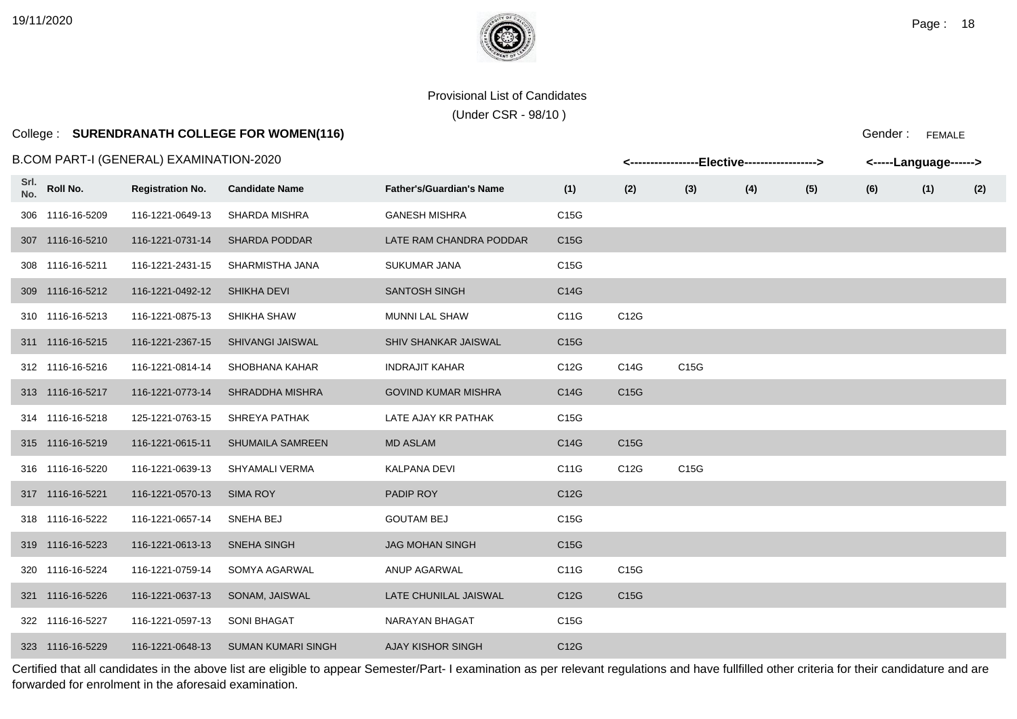(Under CSR - 98/10 )

# College : **SURENDRANATH COLLEGE FOR WOMEN(116)**

### B.COM PART-I (GENERAL) EXAMINATION-2020

|             | 3.COM PART-I (GENERAL) EXAMINATION-2020 |                         |                           |                                 |      |      | <-----------------Elective-----------------> |     | <-----Language------> |     |     |     |  |
|-------------|-----------------------------------------|-------------------------|---------------------------|---------------------------------|------|------|----------------------------------------------|-----|-----------------------|-----|-----|-----|--|
| Srl.<br>No. | Roll No.                                | <b>Registration No.</b> | <b>Candidate Name</b>     | <b>Father's/Guardian's Name</b> | (1)  | (2)  | (3)                                          | (4) | (5)                   | (6) | (1) | (2) |  |
|             | 306 1116-16-5209                        | 116-1221-0649-13        | SHARDA MISHRA             | <b>GANESH MISHRA</b>            | C15G |      |                                              |     |                       |     |     |     |  |
|             | 307 1116-16-5210                        | 116-1221-0731-14        | <b>SHARDA PODDAR</b>      | LATE RAM CHANDRA PODDAR         | C15G |      |                                              |     |                       |     |     |     |  |
|             | 308 1116-16-5211                        | 116-1221-2431-15        | SHARMISTHA JANA           | <b>SUKUMAR JANA</b>             | C15G |      |                                              |     |                       |     |     |     |  |
|             | 309 1116-16-5212                        | 116-1221-0492-12        | <b>SHIKHA DEVI</b>        | <b>SANTOSH SINGH</b>            | C14G |      |                                              |     |                       |     |     |     |  |
|             | 310 1116-16-5213                        | 116-1221-0875-13        | SHIKHA SHAW               | MUNNI LAL SHAW                  | C11G | C12G |                                              |     |                       |     |     |     |  |
|             | 311 1116-16-5215                        | 116-1221-2367-15        | <b>SHIVANGI JAISWAL</b>   | SHIV SHANKAR JAISWAL            | C15G |      |                                              |     |                       |     |     |     |  |
|             | 312 1116-16-5216                        | 116-1221-0814-14        | SHOBHANA KAHAR            | <b>INDRAJIT KAHAR</b>           | C12G | C14G | C <sub>15</sub> G                            |     |                       |     |     |     |  |
|             | 313 1116-16-5217                        | 116-1221-0773-14        | SHRADDHA MISHRA           | <b>GOVIND KUMAR MISHRA</b>      | C14G | C15G |                                              |     |                       |     |     |     |  |
|             | 314 1116-16-5218                        | 125-1221-0763-15        | SHREYA PATHAK             | LATE AJAY KR PATHAK             | C15G |      |                                              |     |                       |     |     |     |  |
|             | 315 1116-16-5219                        | 116-1221-0615-11        | <b>SHUMAILA SAMREEN</b>   | <b>MD ASLAM</b>                 | C14G | C15G |                                              |     |                       |     |     |     |  |
|             | 316 1116-16-5220                        | 116-1221-0639-13        | SHYAMALI VERMA            | KALPANA DEVI                    | C11G | C12G | C15G                                         |     |                       |     |     |     |  |
|             | 317 1116-16-5221                        | 116-1221-0570-13        | SIMA ROY                  | PADIP ROY                       | C12G |      |                                              |     |                       |     |     |     |  |
|             | 318 1116-16-5222                        | 116-1221-0657-14        | SNEHA BEJ                 | <b>GOUTAM BEJ</b>               | C15G |      |                                              |     |                       |     |     |     |  |
|             | 319 1116-16-5223                        | 116-1221-0613-13        | <b>SNEHA SINGH</b>        | <b>JAG MOHAN SINGH</b>          | C15G |      |                                              |     |                       |     |     |     |  |
|             | 320 1116-16-5224                        | 116-1221-0759-14        | SOMYA AGARWAL             | ANUP AGARWAL                    | C11G | C15G |                                              |     |                       |     |     |     |  |
|             | 321 1116-16-5226                        | 116-1221-0637-13        | SONAM, JAISWAL            | LATE CHUNILAL JAISWAL           | C12G | C15G |                                              |     |                       |     |     |     |  |
|             | 322 1116-16-5227                        | 116-1221-0597-13        | <b>SONI BHAGAT</b>        | NARAYAN BHAGAT                  | C15G |      |                                              |     |                       |     |     |     |  |
|             | 323 1116-16-5229                        | 116-1221-0648-13        | <b>SUMAN KUMARI SINGH</b> | <b>AJAY KISHOR SINGH</b>        | C12G |      |                                              |     |                       |     |     |     |  |

Certified that all candidates in the above list are eligible to appear Semester/Part- I examination as per relevant regulations and have fullfilled other criteria for their candidature and are forwarded for enrolment in the aforesaid examination.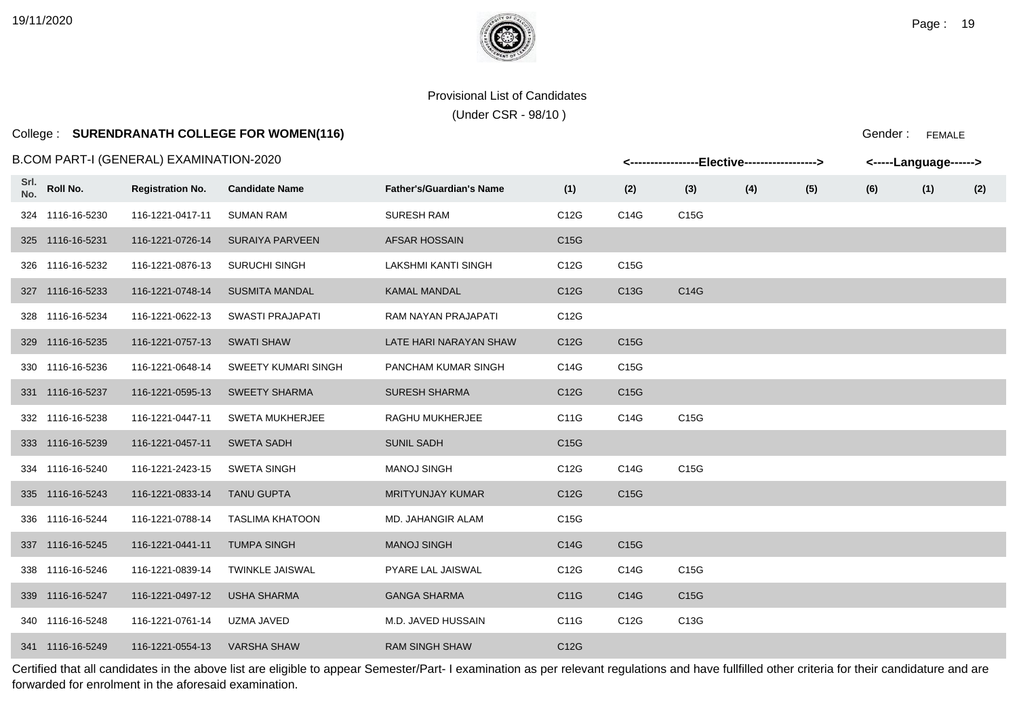(Under CSR - 98/10 )

# College : **SURENDRANATH COLLEGE FOR WOMEN(116)**

Gender : FEMALE

|             | B.COM PART-I (GENERAL) EXAMINATION-2020 |                         | <-----------------Elective-----------------> |                                 | <-----Language------> |      |                   |     |     |     |     |     |
|-------------|-----------------------------------------|-------------------------|----------------------------------------------|---------------------------------|-----------------------|------|-------------------|-----|-----|-----|-----|-----|
| Srl.<br>No. | Roll No.                                | <b>Registration No.</b> | <b>Candidate Name</b>                        | <b>Father's/Guardian's Name</b> | (1)                   | (2)  | (3)               | (4) | (5) | (6) | (1) | (2) |
|             | 324 1116-16-5230                        | 116-1221-0417-11        | <b>SUMAN RAM</b>                             | <b>SURESH RAM</b>               | C12G                  | C14G | C15G              |     |     |     |     |     |
|             | 325 1116-16-5231                        | 116-1221-0726-14        | <b>SURAIYA PARVEEN</b>                       | <b>AFSAR HOSSAIN</b>            | C <sub>15</sub> G     |      |                   |     |     |     |     |     |
|             | 326 1116-16-5232                        | 116-1221-0876-13        | <b>SURUCHI SINGH</b>                         | LAKSHMI KANTI SINGH             | C12G                  | C15G |                   |     |     |     |     |     |
|             | 327 1116-16-5233                        | 116-1221-0748-14        | <b>SUSMITA MANDAL</b>                        | <b>KAMAL MANDAL</b>             | C12G                  | C13G | C14G              |     |     |     |     |     |
| 328         | 1116-16-5234                            | 116-1221-0622-13        | <b>SWASTI PRAJAPATI</b>                      | RAM NAYAN PRAJAPATI             | C12G                  |      |                   |     |     |     |     |     |
|             | 329 1116-16-5235                        | 116-1221-0757-13        | <b>SWATI SHAW</b>                            | LATE HARI NARAYAN SHAW          | C12G                  | C15G |                   |     |     |     |     |     |
|             | 330 1116-16-5236                        | 116-1221-0648-14        | <b>SWEETY KUMARI SINGH</b>                   | PANCHAM KUMAR SINGH             | C14G                  | C15G |                   |     |     |     |     |     |
|             | 331 1116-16-5237                        | 116-1221-0595-13        | <b>SWEETY SHARMA</b>                         | <b>SURESH SHARMA</b>            | C12G                  | C15G |                   |     |     |     |     |     |
|             | 332 1116-16-5238                        | 116-1221-0447-11        | <b>SWETA MUKHERJEE</b>                       | RAGHU MUKHERJEE                 | C11G                  | C14G | C15G              |     |     |     |     |     |
|             | 333 1116-16-5239                        | 116-1221-0457-11        | <b>SWETA SADH</b>                            | <b>SUNIL SADH</b>               | C15G                  |      |                   |     |     |     |     |     |
|             | 334 1116-16-5240                        | 116-1221-2423-15        | <b>SWETA SINGH</b>                           | <b>MANOJ SINGH</b>              | C12G                  | C14G | C15G              |     |     |     |     |     |
|             | 335 1116-16-5243                        | 116-1221-0833-14        | <b>TANU GUPTA</b>                            | <b>MRITYUNJAY KUMAR</b>         | C12G                  | C15G |                   |     |     |     |     |     |
|             | 336 1116-16-5244                        | 116-1221-0788-14        | <b>TASLIMA KHATOON</b>                       | MD. JAHANGIR ALAM               | C15G                  |      |                   |     |     |     |     |     |
|             | 337 1116-16-5245                        | 116-1221-0441-11        | <b>TUMPA SINGH</b>                           | <b>MANOJ SINGH</b>              | C14G                  | C15G |                   |     |     |     |     |     |
|             | 338 1116-16-5246                        | 116-1221-0839-14        | <b>TWINKLE JAISWAL</b>                       | PYARE LAL JAISWAL               | C12G                  | C14G | C15G              |     |     |     |     |     |
|             | 339 1116-16-5247                        | 116-1221-0497-12        | <b>USHA SHARMA</b>                           | <b>GANGA SHARMA</b>             | C11G                  | C14G | C <sub>15</sub> G |     |     |     |     |     |
|             | 340 1116-16-5248                        | 116-1221-0761-14        | UZMA JAVED                                   | M.D. JAVED HUSSAIN              | C11G                  | C12G | C13G              |     |     |     |     |     |
|             | 341 1116-16-5249                        | 116-1221-0554-13        | <b>VARSHA SHAW</b>                           | <b>RAM SINGH SHAW</b>           | C12G                  |      |                   |     |     |     |     |     |